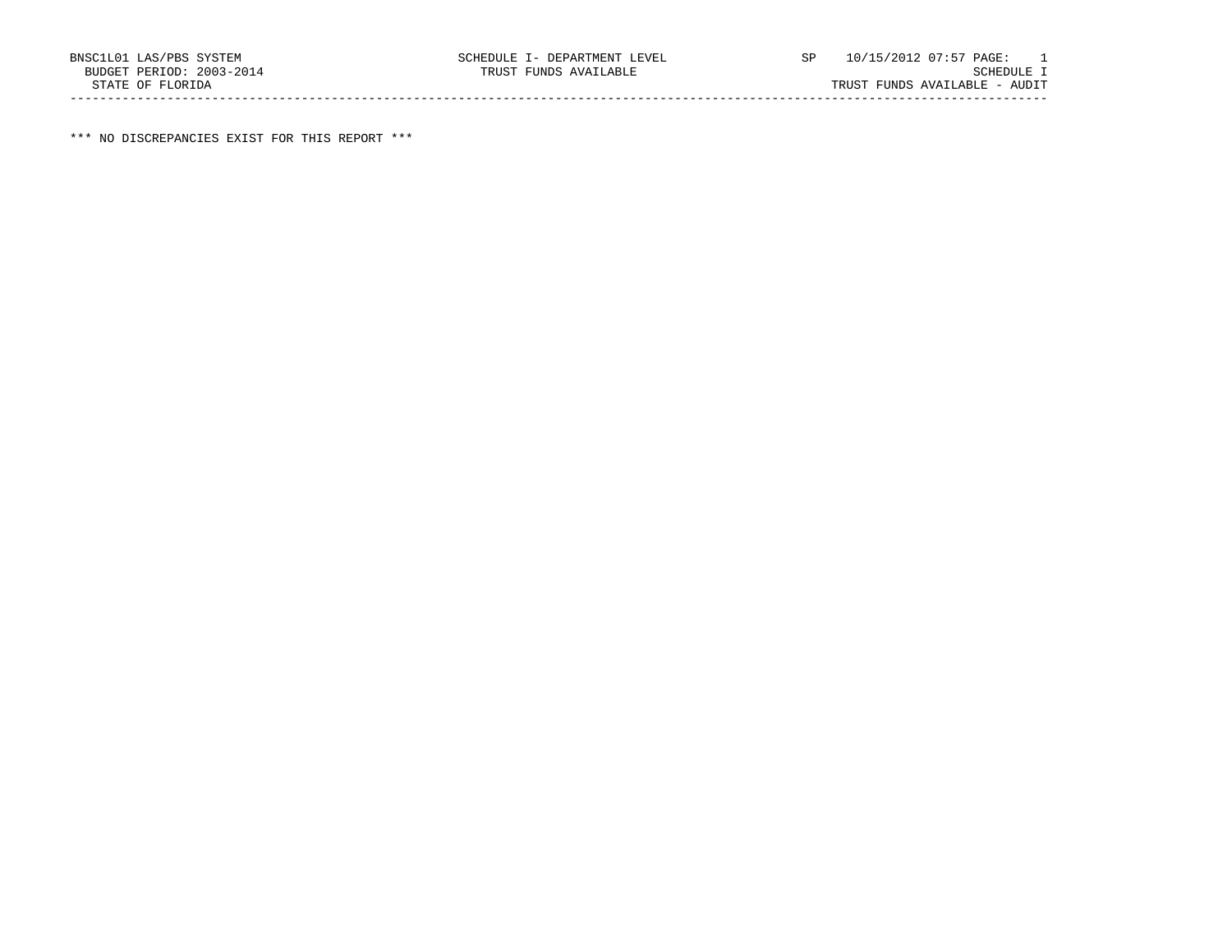\*\*\* NO DISCREPANCIES EXIST FOR THIS REPORT \*\*\*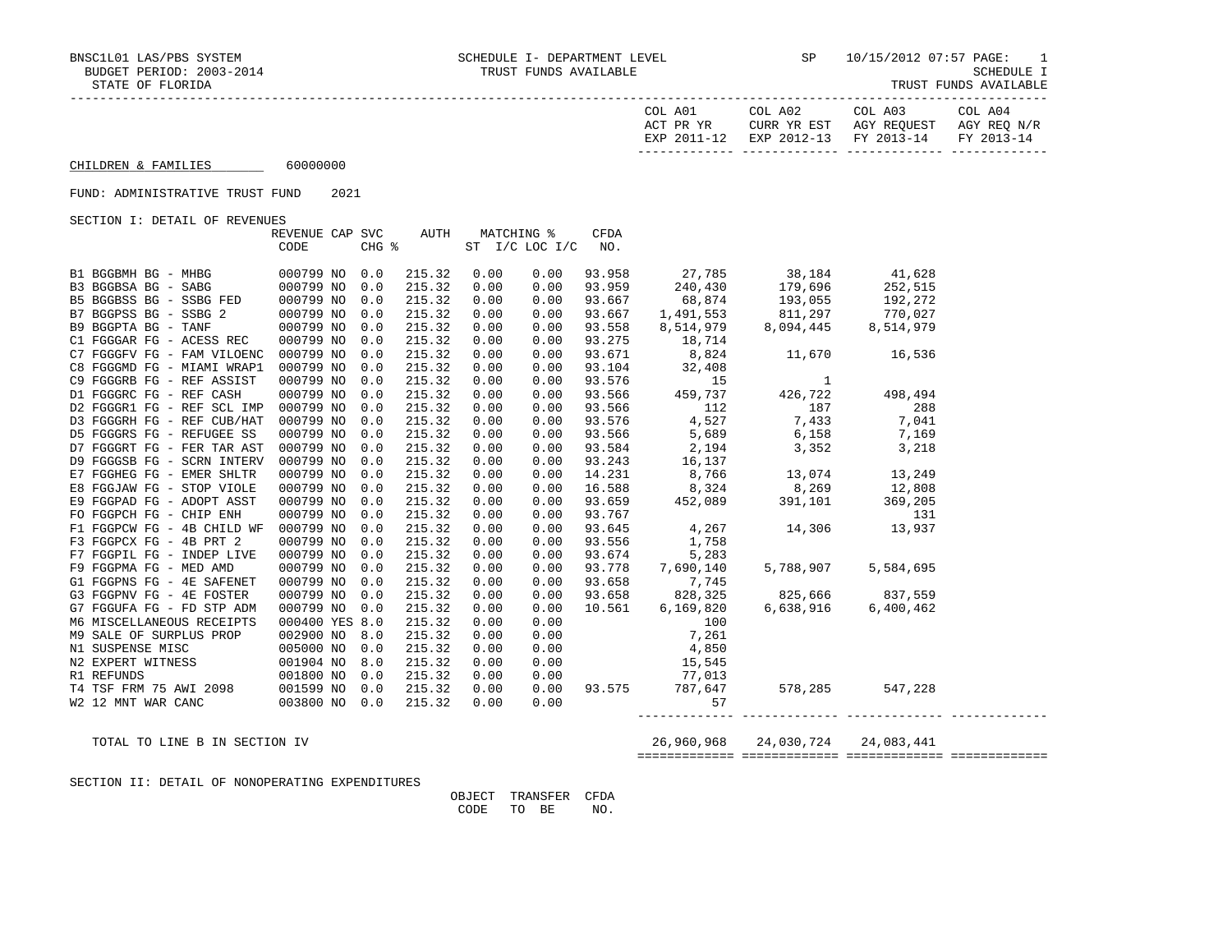| COL A01<br>ACT PR YR | COL A02<br>CURR YR EST            | COL A03<br>AGY REOUEST | COL A04<br>AGY REO N/R |
|----------------------|-----------------------------------|------------------------|------------------------|
| EXP 2011-12          | EXP 2012-13 FY 2013-14 FY 2013-14 |                        |                        |

CHILDREN & FAMILIES 60000000

## FUND: ADMINISTRATIVE TRUST FUND 2021

SECTION I: DETAIL OF REVENUES

|                            | REVENUE CAP SVC |     | AUTH   |      | MATCHING %     | <b>CFDA</b> |                                                                                                                                                                                                                                                                              |                           |           |  |
|----------------------------|-----------------|-----|--------|------|----------------|-------------|------------------------------------------------------------------------------------------------------------------------------------------------------------------------------------------------------------------------------------------------------------------------------|---------------------------|-----------|--|
|                            | CODE            |     | CHG %  |      | ST I/C LOC I/C | NO.         |                                                                                                                                                                                                                                                                              |                           |           |  |
| B1 BGGBMH BG - MHBG        | 000799 NO       | 0.0 | 215.32 | 0.00 | 0.00           | 93.958      | 27,785 38,184 41,628                                                                                                                                                                                                                                                         |                           |           |  |
| B3 BGGBSA BG - SABG        | 000799 NO       | 0.0 | 215.32 | 0.00 | 0.00           | 93.959      | 240,430                                                                                                                                                                                                                                                                      | 179,696                   | 252,515   |  |
| B5 BGGBSS BG - SSBG FED    | 000799 NO       | 0.0 | 215.32 | 0.00 | 0.00           |             | 93.667 68,874 193,055 192,272<br>93.667 1,491,553 811,297 770,027<br>93.558 8,514,979 8,094,445 8,514,979                                                                                                                                                                    |                           |           |  |
| B7 BGGPSS BG - SSBG 2      | 000799 NO       | 0.0 | 215.32 | 0.00 | 0.00           |             |                                                                                                                                                                                                                                                                              |                           |           |  |
| B9 BGGPTA BG - TANF        | 000799 NO       | 0.0 | 215.32 | 0.00 | 0.00           |             |                                                                                                                                                                                                                                                                              |                           |           |  |
| C1 FGGGAR FG - ACESS REC   | 000799 NO       | 0.0 | 215.32 | 0.00 | 0.00           | 93.275      | 18,714                                                                                                                                                                                                                                                                       |                           |           |  |
| C7 FGGGFV FG - FAM VILOENC | 000799 NO       | 0.0 | 215.32 | 0.00 | 0.00           |             |                                                                                                                                                                                                                                                                              |                           |           |  |
| C8 FGGGMD FG - MIAMI WRAP1 | 000799 NO       | 0.0 | 215.32 | 0.00 | 0.00           |             |                                                                                                                                                                                                                                                                              |                           |           |  |
| C9 FGGGRB FG - REF ASSIST  | 000799 NO       | 0.0 | 215.32 | 0.00 | 0.00           |             | $\begin{array}{cccc} 93.275 & 18,714 \ 93.671 & 8,824 & 11,670 & 16,536 \ 93.104 & 32,408 & & & & \ 93.576 & 15 & 1 & & \ 93.566 & 459,737 & 426,722 & 498,494 \ 93.566 & 112 & 187 & 288 \ 93.576 & 4,527 & 7,433 & 7,041 \ 93.566 & 5,689 & 6,158 & 7,169 \ 93.584 & 2,19$ |                           |           |  |
| D1 FGGGRC FG - REF CASH    | 000799 NO       | 0.0 | 215.32 | 0.00 | 0.00           |             |                                                                                                                                                                                                                                                                              |                           |           |  |
| D2 FGGGR1 FG - REF SCL IMP | 000799 NO       | 0.0 | 215.32 | 0.00 | 0.00           |             |                                                                                                                                                                                                                                                                              |                           |           |  |
| D3 FGGGRH FG - REF CUB/HAT | 000799 NO       | 0.0 | 215.32 | 0.00 | 0.00           |             |                                                                                                                                                                                                                                                                              |                           |           |  |
| D5 FGGGRS FG - REFUGEE SS  | 000799 NO       | 0.0 | 215.32 | 0.00 | 0.00           |             |                                                                                                                                                                                                                                                                              |                           |           |  |
| D7 FGGGRT FG - FER TAR AST | 000799 NO       | 0.0 | 215.32 | 0.00 | 0.00           | 93.584      | 2,194                                                                                                                                                                                                                                                                        | 3,352                     | 3,218     |  |
| D9 FGGGSB FG - SCRN INTERV | 000799 NO       | 0.0 | 215.32 | 0.00 | 0.00           | 93.243      | 16,137                                                                                                                                                                                                                                                                       |                           |           |  |
| E7 FGGHEG FG - EMER SHLTR  | 000799 NO       | 0.0 | 215.32 | 0.00 | 0.00           | 14.231      | 8,766                                                                                                                                                                                                                                                                        | 13,074 13,249             |           |  |
| E8 FGGJAW FG - STOP VIOLE  | 000799 NO       | 0.0 | 215.32 | 0.00 | 0.00           | 16.588      | 8,324 8,269 12,808<br>452,089 391,101 369,205                                                                                                                                                                                                                                |                           |           |  |
| E9 FGGPAD FG - ADOPT ASST  | 000799 NO       | 0.0 | 215.32 | 0.00 | 0.00           | 93.659      |                                                                                                                                                                                                                                                                              |                           |           |  |
| FO FGGPCH FG - CHIP ENH    | 000799 NO       | 0.0 | 215.32 | 0.00 | 0.00           | 93.767      |                                                                                                                                                                                                                                                                              | $4,267$ $14,306$ $13,937$ |           |  |
| F1 FGGPCW FG - 4B CHILD WF | 000799 NO       | 0.0 | 215.32 | 0.00 | 0.00           | 93.645      |                                                                                                                                                                                                                                                                              |                           |           |  |
| F3 FGGPCX FG - 4B PRT 2    | 000799 NO       | 0.0 | 215.32 | 0.00 | 0.00           | 93.556      | 1,758                                                                                                                                                                                                                                                                        |                           |           |  |
| F7 FGGPIL FG - INDEP LIVE  | 000799 NO       | 0.0 | 215.32 | 0.00 | 0.00           | 93.674      | 5,283                                                                                                                                                                                                                                                                        |                           |           |  |
| F9 FGGPMA FG - MED AMD     | 000799 NO       | 0.0 | 215.32 | 0.00 | 0.00           |             | 93.778 7,690,140                                                                                                                                                                                                                                                             | 5,788,907                 | 5,584,695 |  |
| G1 FGGPNS FG - 4E SAFENET  | 000799 NO       | 0.0 | 215.32 | 0.00 | 0.00           | 93.658      | 7,745                                                                                                                                                                                                                                                                        |                           |           |  |
| G3 FGGPNV FG - 4E FOSTER   | 000799 NO       | 0.0 | 215.32 | 0.00 | 0.00           |             | 93.658 828,325                                                                                                                                                                                                                                                               | 825,666 837,559           |           |  |
| G7 FGGUFA FG - FD STP ADM  | 000799 NO       | 0.0 | 215.32 | 0.00 | 0.00           | 10.561      | 6,169,820                                                                                                                                                                                                                                                                    | 6,638,916                 | 6,400,462 |  |
| M6 MISCELLANEOUS RECEIPTS  | 000400 YES 8.0  |     | 215.32 | 0.00 | 0.00           |             | 100                                                                                                                                                                                                                                                                          |                           |           |  |
| M9 SALE OF SURPLUS PROP    | 002900 NO       | 8.0 | 215.32 | 0.00 | 0.00           |             | 7,261                                                                                                                                                                                                                                                                        |                           |           |  |
| N1 SUSPENSE MISC           | 005000 NO       | 0.0 | 215.32 | 0.00 | 0.00           |             | 4,850                                                                                                                                                                                                                                                                        |                           |           |  |
| N2 EXPERT WITNESS          | 001904 NO       | 8.0 | 215.32 | 0.00 | 0.00           |             | 15,545                                                                                                                                                                                                                                                                       |                           |           |  |
| R1 REFUNDS                 | 001800 NO 0.0   |     | 215.32 | 0.00 |                |             | $0.00$ 77,013                                                                                                                                                                                                                                                                |                           |           |  |
| T4 TSF FRM 75 AWI 2098     | 001599 NO       | 0.0 | 215.32 | 0.00 |                |             | 0.00 93.575 787,647 578,285 547,228                                                                                                                                                                                                                                          |                           |           |  |
| W2 12 MNT WAR CANC         | 003800 NO 0.0   |     | 215.32 | 0.00 | 0.00           |             | 57                                                                                                                                                                                                                                                                           |                           |           |  |
|                            |                 |     |        |      |                |             |                                                                                                                                                                                                                                                                              |                           |           |  |

TOTAL TO LINE B IN SECTION IV 26,960,968 24,030,724 24,083,441

============= ============= ============= =============

SECTION II: DETAIL OF NONOPERATING EXPENDITURES

 OBJECT TRANSFER CFDA CODE TO BE NO.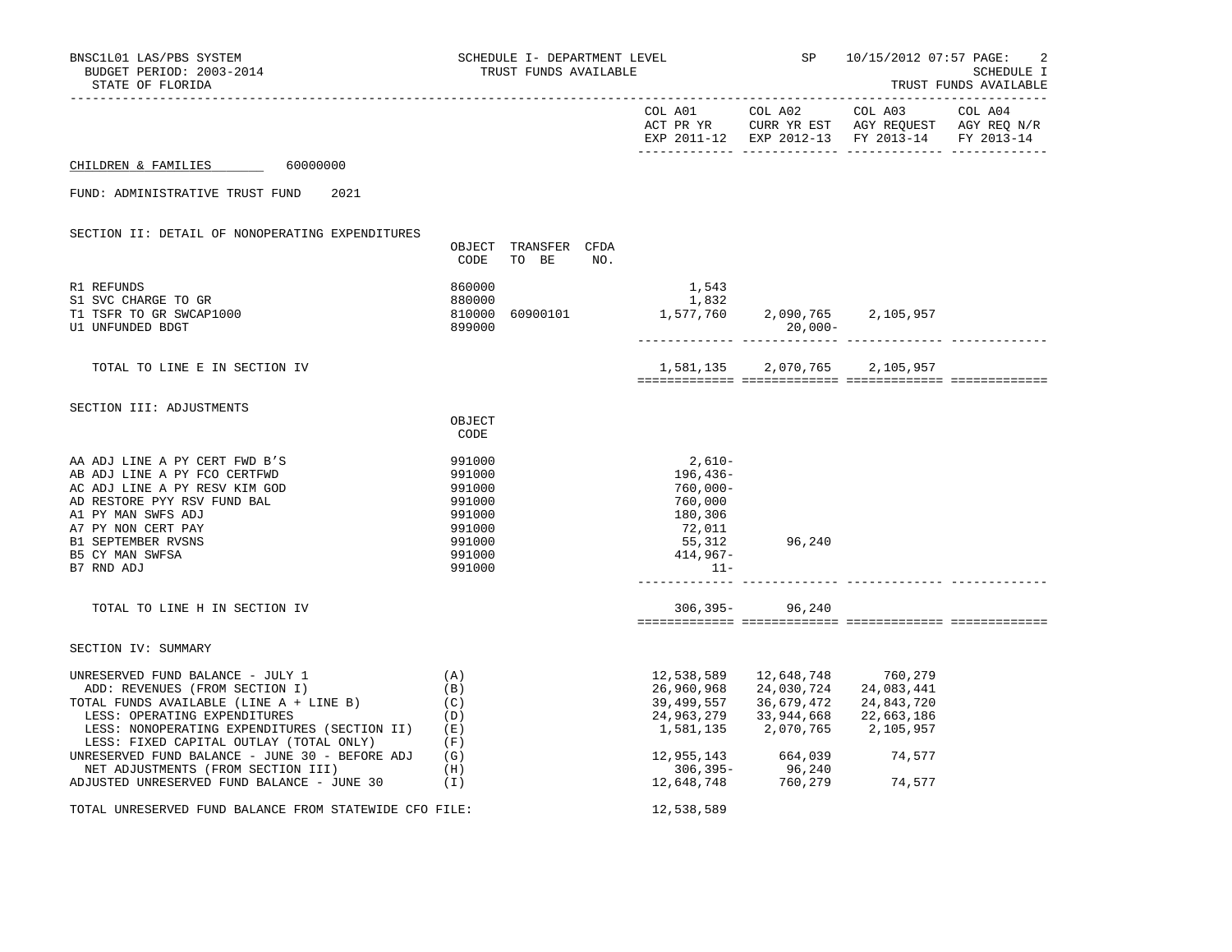| BNSC1L01 LAS/PBS SYSTEM<br>BUDGET PERIOD: 2003-2014<br>STATE OF FLORIDA                                                                                                                                                                                                                                                                |                                                                              | SCHEDULE I- DEPARTMENT LEVEL<br>TRUST FUNDS AVAILABLE |     |                                                                                        |                                                                                                                                                                                                                                                        | SP 10/15/2012 07:57 PAGE:<br>2<br>SCHEDULE I<br>TRUST FUNDS AVAILABLE |  |  |
|----------------------------------------------------------------------------------------------------------------------------------------------------------------------------------------------------------------------------------------------------------------------------------------------------------------------------------------|------------------------------------------------------------------------------|-------------------------------------------------------|-----|----------------------------------------------------------------------------------------|--------------------------------------------------------------------------------------------------------------------------------------------------------------------------------------------------------------------------------------------------------|-----------------------------------------------------------------------|--|--|
|                                                                                                                                                                                                                                                                                                                                        |                                                                              |                                                       |     |                                                                                        |                                                                                                                                                                                                                                                        | EXP 2011-12 EXP 2012-13 FY 2013-14 FY 2013-14                         |  |  |
| CHILDREN & FAMILIES 60000000                                                                                                                                                                                                                                                                                                           |                                                                              |                                                       |     |                                                                                        |                                                                                                                                                                                                                                                        |                                                                       |  |  |
| FUND: ADMINISTRATIVE TRUST FUND<br>2021                                                                                                                                                                                                                                                                                                |                                                                              |                                                       |     |                                                                                        |                                                                                                                                                                                                                                                        |                                                                       |  |  |
| SECTION II: DETAIL OF NONOPERATING EXPENDITURES                                                                                                                                                                                                                                                                                        | CODE                                                                         | OBJECT TRANSFER CFDA<br>TO BE                         | NO. |                                                                                        |                                                                                                                                                                                                                                                        |                                                                       |  |  |
| R1 REFUNDS<br>S1 SVC CHARGE TO GR<br>T1 TSFR TO GR SWCAP1000<br>U1 UNFUNDED BDGT                                                                                                                                                                                                                                                       | 860000<br>880000<br>899000                                                   | 810000 60900101                                       |     | 1,543<br>1,832<br>832<br>1,577,760                                                     | 2,090,765 2,105,957<br>$20,000-$                                                                                                                                                                                                                       |                                                                       |  |  |
| TOTAL TO LINE E IN SECTION IV                                                                                                                                                                                                                                                                                                          |                                                                              |                                                       |     |                                                                                        | 1,581,135 2,070,765 2,105,957                                                                                                                                                                                                                          | _ _____________ __________                                            |  |  |
| SECTION III: ADJUSTMENTS                                                                                                                                                                                                                                                                                                               | OBJECT<br>CODE                                                               |                                                       |     |                                                                                        |                                                                                                                                                                                                                                                        |                                                                       |  |  |
| AA ADJ LINE A PY CERT FWD B'S<br>AB ADJ LINE A PY FCO CERTFWD<br>AC ADJ LINE A PY RESV KIM GOD<br>AD RESTORE PYY RSV FUND BAL<br>A1 PY MAN SWFS ADJ<br>A7 PY NON CERT PAY<br>B1 SEPTEMBER RVSNS<br>B5 CY MAN SWFSA                                                                                                                     | 991000<br>991000<br>991000<br>991000<br>991000<br>991000<br>991000<br>991000 |                                                       |     | $2,610-$<br>196,436-<br>760,000-<br>760,000<br>180,306<br>72,011<br>55,312<br>414,967- | 96,240                                                                                                                                                                                                                                                 |                                                                       |  |  |
| B7 RND ADJ<br>TOTAL TO LINE H IN SECTION IV                                                                                                                                                                                                                                                                                            | 991000                                                                       |                                                       |     | $11-$                                                                                  | 306,395-96,240                                                                                                                                                                                                                                         |                                                                       |  |  |
| SECTION IV: SUMMARY                                                                                                                                                                                                                                                                                                                    |                                                                              |                                                       |     |                                                                                        |                                                                                                                                                                                                                                                        |                                                                       |  |  |
| UNRESERVED FUND BALANCE - JULY 1<br>ADD: REVENUES (FROM SECTION I)<br>TOTAL FUNDS AVAILABLE (LINE A + LINE B)<br>LESS: OPERATING EXPENDITURES<br>LESS: NONOPERATING EXPENDITURES (SECTION II)<br>LESS: FIXED CAPITAL OUTLAY (TOTAL ONLY)<br>UNRESERVED FUND BALANCE - JUNE 30 - BEFORE ADJ $(G)$<br>NET ADJUSTMENTS (FROM SECTION III) | (A)<br>(B)<br>(C)<br>(D)<br>(E)<br>(F)                                       |                                                       |     | 12,538,589<br>26,960,968<br>39,499,557<br>24,963,279                                   | 12,648,748<br>24,030,724<br>36,679,472<br>33,944,668<br>1,581,135 2,070,765 2,105,957<br>$\begin{array}{ccc} 12\, , 955\, , 143 & 664\, , 039 & 74\, , 577 \\ 306\, , 395 - & 96\, , 240 \\ 12\, , 648\, , 748 & 760\, , 279 & 74\, , 577 \end{array}$ | 760,279<br>24,083,441<br>24,843,720<br>22,663,186                     |  |  |
| ADJUSTED UNRESERVED FUND BALANCE - JUNE $30$ (I)                                                                                                                                                                                                                                                                                       | (H)                                                                          |                                                       |     |                                                                                        |                                                                                                                                                                                                                                                        |                                                                       |  |  |
| TOTAL UNRESERVED FUND BALANCE FROM STATEWIDE CFO FILE:                                                                                                                                                                                                                                                                                 |                                                                              |                                                       |     | 12,538,589                                                                             |                                                                                                                                                                                                                                                        |                                                                       |  |  |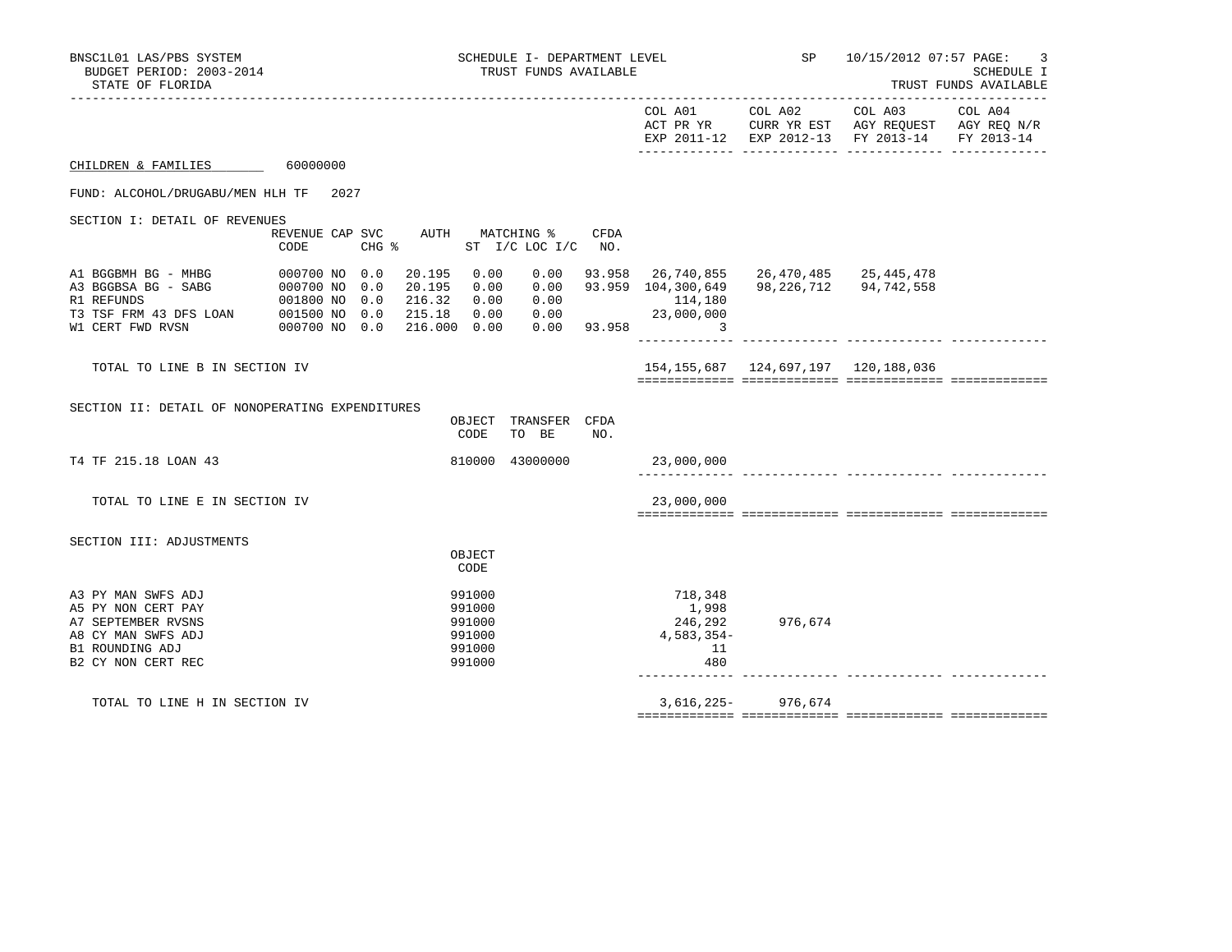| BNSC1L01 LAS/PBS SYSTEM<br>BUDGET PERIOD: 2003-2014<br>STATE OF FLORIDA                                                       |                                         |  |                                                                          | SCHEDULE I- DEPARTMENT LEVEL<br>TRUST FUNDS AVAILABLE    |                               |      | <b>SP</b>                                                                           | 10/15/2012 07:57 PAGE:<br>3<br>SCHEDULE I<br>TRUST FUNDS AVAILABLE |                                                                                                                   |  |
|-------------------------------------------------------------------------------------------------------------------------------|-----------------------------------------|--|--------------------------------------------------------------------------|----------------------------------------------------------|-------------------------------|------|-------------------------------------------------------------------------------------|--------------------------------------------------------------------|-------------------------------------------------------------------------------------------------------------------|--|
|                                                                                                                               |                                         |  |                                                                          |                                                          |                               |      |                                                                                     | COL A01 COL A02                                                    | COL A03 COL A04<br>ACT PR YR CURR YR EST AGY REQUEST AGY REQ N/R<br>EXP 2011-12 EXP 2012-13 FY 2013-14 FY 2013-14 |  |
| CHILDREN & FAMILIES 60000000                                                                                                  |                                         |  |                                                                          |                                                          |                               |      |                                                                                     |                                                                    |                                                                                                                   |  |
| FUND: ALCOHOL/DRUGABU/MEN HLH TF 2027                                                                                         |                                         |  |                                                                          |                                                          |                               |      |                                                                                     |                                                                    |                                                                                                                   |  |
| SECTION I: DETAIL OF REVENUES                                                                                                 |                                         |  |                                                                          |                                                          |                               |      |                                                                                     |                                                                    |                                                                                                                   |  |
|                                                                                                                               | REVENUE CAP SVC AUTH MATCHING %<br>CODE |  | $CHG$ $\approx$                                                          |                                                          | ST I/C LOC I/C NO.            | CFDA |                                                                                     |                                                                    |                                                                                                                   |  |
| A1 BGGBMH BG - MHBG                                                                                                           | 000700 NO 0.0                           |  | 20.195 0.00<br>20.195 0.00<br>216.32 0.00<br>215.18 0.00<br>216.000 0.00 |                                                          | 0.00<br>0.00<br>0.00<br>0.00  |      | 93.958 26,740,855<br>93.959 104,300,649<br>114,180<br>$0.00$ 23,000,000<br>93.958 3 |                                                                    | 26,470,485 25,445,478<br>98, 226, 712 94, 742, 558<br>________ ______________ ____                                |  |
| TOTAL TO LINE B IN SECTION IV                                                                                                 |                                         |  |                                                                          |                                                          |                               |      |                                                                                     | 154, 155, 687 124, 697, 197 120, 188, 036                          |                                                                                                                   |  |
| SECTION II: DETAIL OF NONOPERATING EXPENDITURES                                                                               |                                         |  |                                                                          | CODE                                                     | OBJECT TRANSFER CFDA<br>TO BE | NO.  |                                                                                     |                                                                    |                                                                                                                   |  |
| T4 TF 215.18 LOAN 43                                                                                                          |                                         |  |                                                                          |                                                          | 810000 43000000               |      | 23,000,000                                                                          |                                                                    |                                                                                                                   |  |
| TOTAL TO LINE E IN SECTION IV                                                                                                 |                                         |  |                                                                          |                                                          |                               |      | 23,000,000                                                                          |                                                                    |                                                                                                                   |  |
| SECTION III: ADJUSTMENTS                                                                                                      |                                         |  |                                                                          | OBJECT<br>CODE                                           |                               |      |                                                                                     |                                                                    |                                                                                                                   |  |
| A3 PY MAN SWFS ADJ<br>A5 PY NON CERT PAY<br>A7 SEPTEMBER RVSNS<br>A8 CY MAN SWFS ADJ<br>B1 ROUNDING ADJ<br>B2 CY NON CERT REC |                                         |  |                                                                          | 991000<br>991000<br>991000<br>991000<br>991000<br>991000 |                               |      | 718,348<br>1,998<br>246,292<br>4,583,354-<br>11<br>480                              | 976,674                                                            |                                                                                                                   |  |
| TOTAL TO LINE H IN SECTION IV                                                                                                 |                                         |  |                                                                          |                                                          |                               |      | 3,616,225-                                                                          | 976,674                                                            |                                                                                                                   |  |

============= ============= ============= =============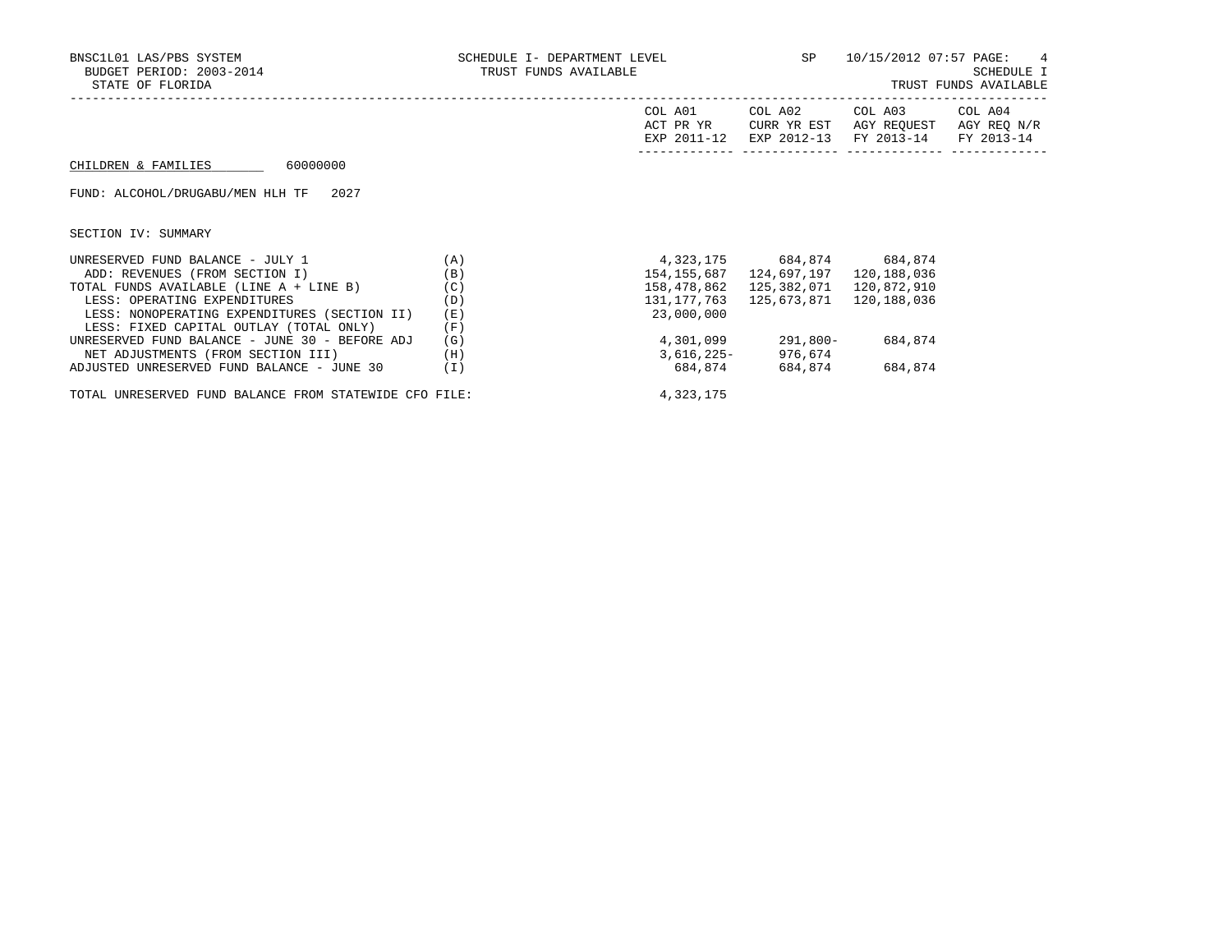| BNSC1L01 LAS/PBS SYSTEM<br>BUDGET PERIOD: 2003-2014<br>STATE OF FLORIDA | SCHEDULE I- DEPARTMENT LEVEL<br>TRUST FUNDS AVAILABLE | SP                                  | 10/15/2012 07:57 PAGE: 4<br>SCHEDULE I<br>TRUST FUNDS AVAILABLE |                                                  |                       |
|-------------------------------------------------------------------------|-------------------------------------------------------|-------------------------------------|-----------------------------------------------------------------|--------------------------------------------------|-----------------------|
|                                                                         |                                                       | COL A01<br>ACT PR YR<br>EXP 2011-12 | COL A02<br>CURR YR EST<br>EXP 2012-13                           | COL A03<br>AGY REQUEST AGY REQ N/R<br>FY 2013-14 | COL A04<br>FY 2013-14 |
| 60000000<br>CHILDREN & FAMILIES                                         |                                                       |                                     |                                                                 |                                                  |                       |
| FUND: ALCOHOL/DRUGABU/MEN HLH TF<br>2027                                |                                                       |                                     |                                                                 |                                                  |                       |
| SECTION IV: SUMMARY                                                     |                                                       |                                     |                                                                 |                                                  |                       |
| UNRESERVED FUND BALANCE - JULY 1                                        | (A)                                                   | 4,323,175 684,874 684,874           |                                                                 |                                                  |                       |
| ADD: REVENUES (FROM SECTION I)                                          | (B)                                                   | 154,155,687                         | 124,697,197                                                     | 120,188,036                                      |                       |
| TOTAL FUNDS AVAILABLE (LINE A + LINE B)                                 | (C)                                                   | 158,478,862                         | 125,382,071                                                     | 120,872,910                                      |                       |
| LESS: OPERATING EXPENDITURES                                            | (D)                                                   | 131,177,763                         | 125,673,871                                                     | 120,188,036                                      |                       |
| LESS: NONOPERATING EXPENDITURES (SECTION II)                            | (E)                                                   | 23,000,000                          |                                                                 |                                                  |                       |
| LESS: FIXED CAPITAL OUTLAY (TOTAL ONLY)                                 | (F)                                                   |                                     |                                                                 |                                                  |                       |
| UNRESERVED FUND BALANCE - JUNE 30 - BEFORE ADJ                          | (G)                                                   | 4,301,099                           | 291,800-                                                        | 684,874                                          |                       |
| NET ADJUSTMENTS (FROM SECTION III)                                      | (H)                                                   | 3,616,225-                          | 976,674                                                         |                                                  |                       |
| ADJUSTED UNRESERVED FUND BALANCE - JUNE 30                              | (I)                                                   | 684,874                             | 684,874                                                         | 684,874                                          |                       |

TOTAL UNRESERVED FUND BALANCE FROM STATEWIDE CFO FILE: 4,323,175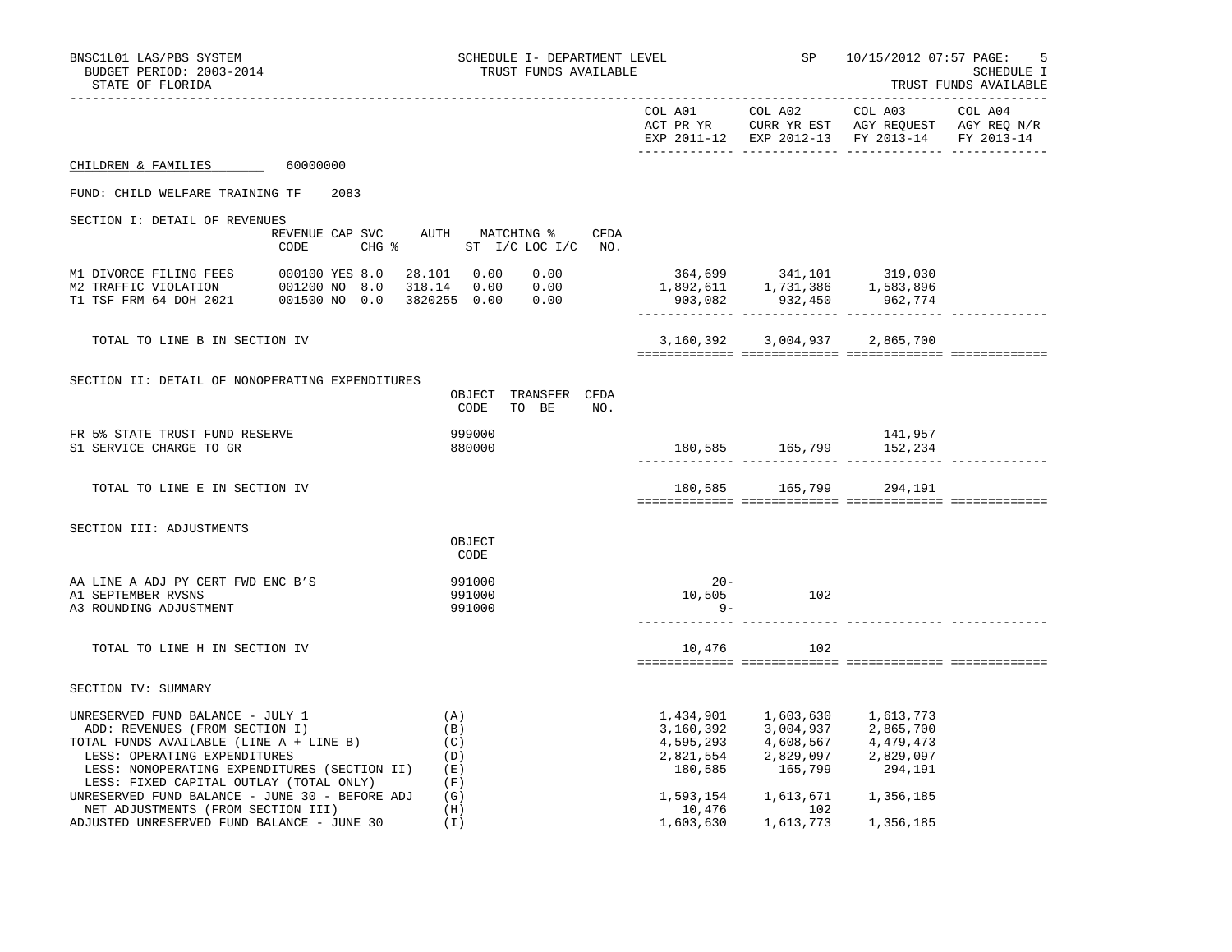| BNSC1L01 LAS/PBS SYSTEM<br>BUDGET PERIOD: 2003-2014<br>STATE OF FLORIDA                                                                                                                                                                                                                    | SCHEDULE I- DEPARTMENT LEVEL<br>TRUST FUNDS AVAILABLE               |                                                                                                                   |                                                                                                                                                                  | SP 10/15/2012 07:57 PAGE:<br>5<br>SCHEDULE I<br>TRUST FUNDS AVAILABLE |  |
|--------------------------------------------------------------------------------------------------------------------------------------------------------------------------------------------------------------------------------------------------------------------------------------------|---------------------------------------------------------------------|-------------------------------------------------------------------------------------------------------------------|------------------------------------------------------------------------------------------------------------------------------------------------------------------|-----------------------------------------------------------------------|--|
|                                                                                                                                                                                                                                                                                            |                                                                     |                                                                                                                   |                                                                                                                                                                  | EXP 2011-12 EXP 2012-13 FY 2013-14 FY 2013-14                         |  |
| CHILDREN & FAMILIES 60000000                                                                                                                                                                                                                                                               |                                                                     |                                                                                                                   |                                                                                                                                                                  |                                                                       |  |
| FUND: CHILD WELFARE TRAINING TF 2083                                                                                                                                                                                                                                                       |                                                                     |                                                                                                                   |                                                                                                                                                                  |                                                                       |  |
| SECTION I: DETAIL OF REVENUES                                                                                                                                                                                                                                                              |                                                                     |                                                                                                                   |                                                                                                                                                                  |                                                                       |  |
| CODE                                                                                                                                                                                                                                                                                       | REVENUE CAP SVC AUTH MATCHING %<br>CFDA<br>CHG % ST I/C LOC I/C NO. |                                                                                                                   |                                                                                                                                                                  |                                                                       |  |
| M1 DIVORCE FILING FEES 000100 YES 8.0 28.101 0.00 0.00<br>M2 TRAFFIC VIOLATION 001200 NO 8.0 318.14 0.00 0.00<br>T1 TSF FRM 64 DOH 2021 001500 NO 0.0 3820255 0.00 0.00                                                                                                                    |                                                                     | $364,699 \qquad \qquad 341,101 \qquad \qquad 319,030$ $1,892,611 \qquad \qquad 1,731,386 \qquad \qquad 1,583,896$ | 903,082 932,450 962,774                                                                                                                                          |                                                                       |  |
| TOTAL TO LINE B IN SECTION IV                                                                                                                                                                                                                                                              |                                                                     |                                                                                                                   | 3, 160, 392 3, 004, 937 2, 865, 700                                                                                                                              |                                                                       |  |
| SECTION II: DETAIL OF NONOPERATING EXPENDITURES                                                                                                                                                                                                                                            | OBJECT TRANSFER CFDA<br>CODE<br>TO BE<br>NO.                        |                                                                                                                   |                                                                                                                                                                  |                                                                       |  |
| FR 5% STATE TRUST FUND RESERVE<br>S1 SERVICE CHARGE TO GR                                                                                                                                                                                                                                  | 999000<br>880000                                                    |                                                                                                                   | 180,585 165,799 152,234                                                                                                                                          | 141,957                                                               |  |
| TOTAL TO LINE E IN SECTION IV                                                                                                                                                                                                                                                              |                                                                     |                                                                                                                   | 180,585 165,799 294,191                                                                                                                                          |                                                                       |  |
| SECTION III: ADJUSTMENTS                                                                                                                                                                                                                                                                   |                                                                     |                                                                                                                   |                                                                                                                                                                  |                                                                       |  |
|                                                                                                                                                                                                                                                                                            | OBJECT<br>CODE                                                      |                                                                                                                   |                                                                                                                                                                  |                                                                       |  |
| AA LINE A ADJ PY CERT FWD ENC B'S<br>A1 SEPTEMBER RVSNS<br>A3 ROUNDING ADJUSTMENT                                                                                                                                                                                                          | 991000<br>991000<br>991000                                          | $20 -$<br>$9-$                                                                                                    | 10,505 102                                                                                                                                                       |                                                                       |  |
| TOTAL TO LINE H IN SECTION IV                                                                                                                                                                                                                                                              |                                                                     | 10,476                                                                                                            | 102                                                                                                                                                              |                                                                       |  |
| SECTION IV: SUMMARY                                                                                                                                                                                                                                                                        |                                                                     |                                                                                                                   |                                                                                                                                                                  |                                                                       |  |
| UNRESERVED FUND BALANCE - JULY 1<br>ADD: REVENUES (FROM SECTION I)<br>TOTAL FUNDS AVAILABLE (LINE A + LINE B)<br>LESS: OPERATING EXPENDITURES<br>LESS: NONOPERATING EXPENDITURES (SECTION II)<br>LESS: FIXED CAPITAL OUTLAY (TOTAL ONLY)<br>UNRESERVED FUND BALANCE - JUNE 30 - BEFORE ADJ | (A)<br>(B)<br>(C)<br>(D)<br>(E)<br>(F)<br>(G)                       |                                                                                                                   | 1,434,901 1,603,630<br>3,160,392 3,004,937 2,865,700<br>4,595,293 4,608,567<br>2,821,554 2,829,097 2,829,097<br>180,585 165,799<br>1,593,154 1,613,671 1,356,185 | 1,613,773<br>4,479,473<br>294,191                                     |  |
| NET ADJUSTMENTS (FROM SECTION III)<br>ADJUSTED UNRESERVED FUND BALANCE - JUNE 30                                                                                                                                                                                                           | (H)<br>(T)                                                          | 10,476<br>1,603,630                                                                                               | 102<br>1,613,773                                                                                                                                                 | 1,356,185                                                             |  |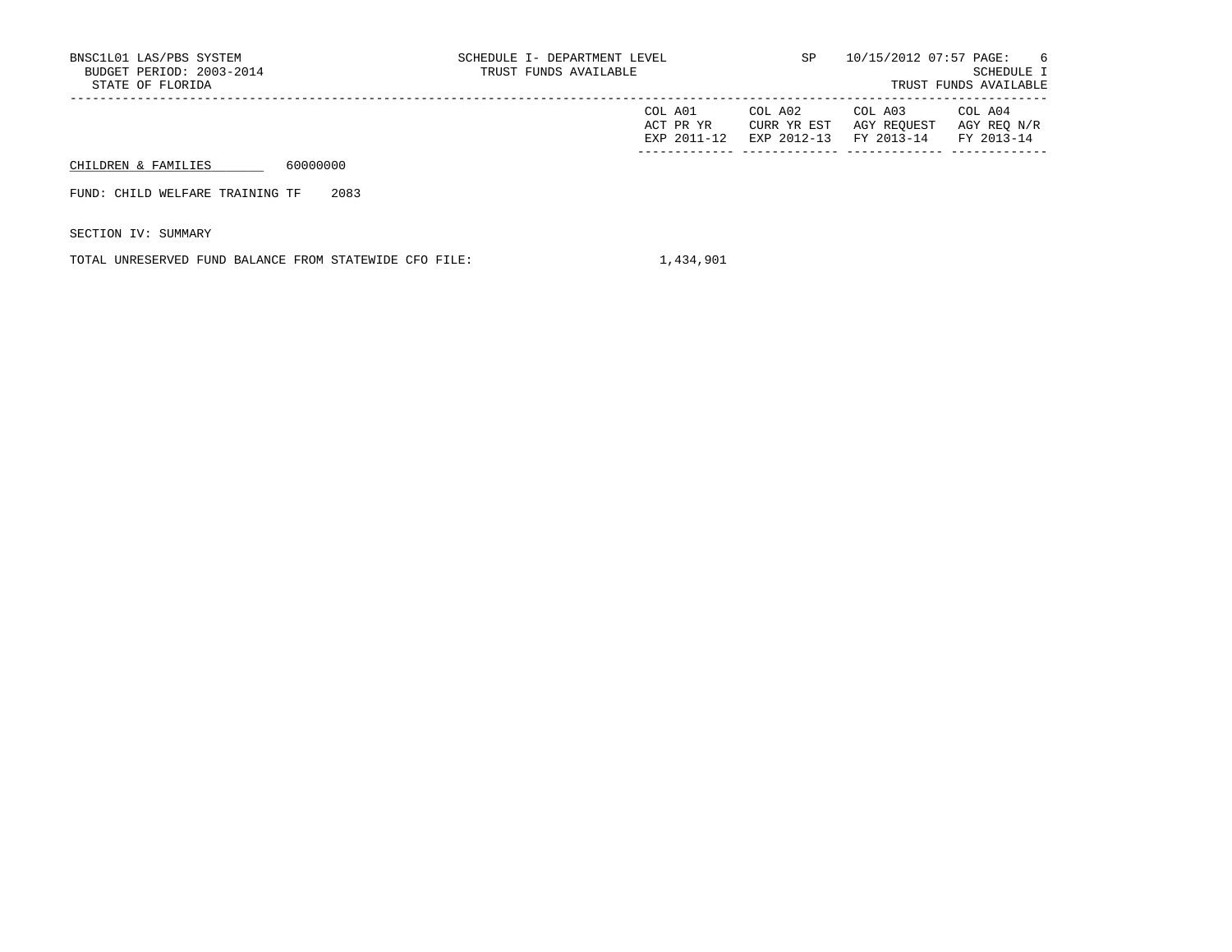| BNSC1L01 LAS/PBS SYSTEM<br>BUDGET PERIOD: 2003-2014<br>STATE OF FLORIDA |          | SCHEDULE I- DEPARTMENT LEVEL<br>TRUST FUNDS AVAILABLE | SP                                  | 10/15/2012 07:57 PAGE:                | - 6<br>SCHEDULE I<br>TRUST FUNDS AVAILABLE |                                      |
|-------------------------------------------------------------------------|----------|-------------------------------------------------------|-------------------------------------|---------------------------------------|--------------------------------------------|--------------------------------------|
|                                                                         |          |                                                       | COL A01<br>ACT PR YR<br>EXP 2011-12 | COL A02<br>CURR YR EST<br>EXP 2012-13 | COL A03<br>AGY REOUEST<br>FY 2013-14       | COL A04<br>AGY REO N/R<br>FY 2013-14 |
| CHILDREN & FAMILIES                                                     | 60000000 |                                                       |                                     |                                       |                                            |                                      |
| FUND: CHILD WELFARE TRAINING TF                                         | 2083     |                                                       |                                     |                                       |                                            |                                      |

SECTION IV: SUMMARY

TOTAL UNRESERVED FUND BALANCE FROM STATEWIDE CFO FILE:  $1,434,901$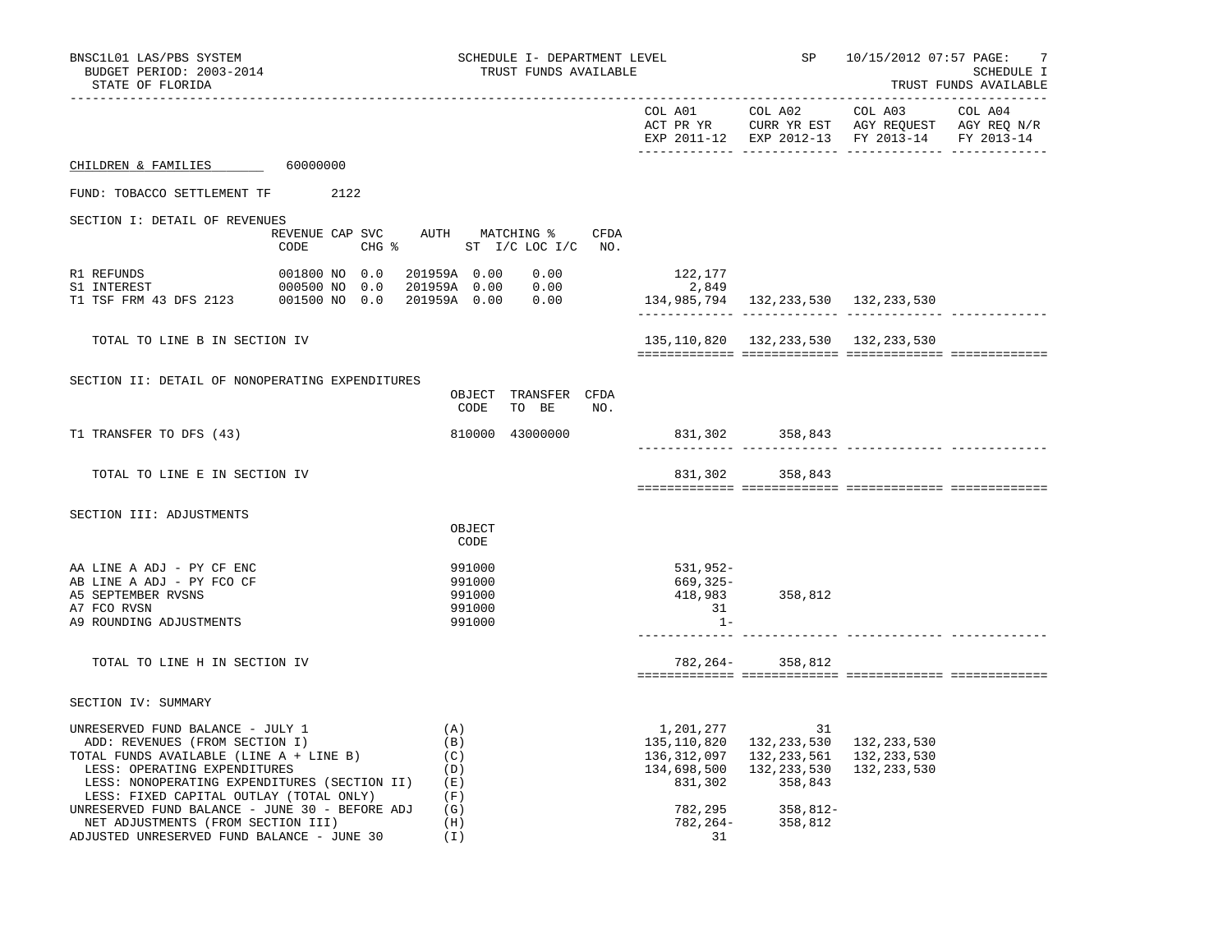| BNSC1L01 LAS/PBS SYSTEM                                                                                                                                                                                                                                                                                                                                                        |                                                                              |                                                             | SCHEDULE I- DEPARTMENT LEVEL  |     |                                                   | <b>SP</b>                                                                                                                                                 | 10/15/2012 07:57 PAGE:                                                                                    | -7                                  |
|--------------------------------------------------------------------------------------------------------------------------------------------------------------------------------------------------------------------------------------------------------------------------------------------------------------------------------------------------------------------------------|------------------------------------------------------------------------------|-------------------------------------------------------------|-------------------------------|-----|---------------------------------------------------|-----------------------------------------------------------------------------------------------------------------------------------------------------------|-----------------------------------------------------------------------------------------------------------|-------------------------------------|
| BUDGET PERIOD: 2003-2014<br>STATE OF FLORIDA                                                                                                                                                                                                                                                                                                                                   |                                                                              |                                                             | TRUST FUNDS AVAILABLE         |     |                                                   |                                                                                                                                                           |                                                                                                           | SCHEDULE I<br>TRUST FUNDS AVAILABLE |
|                                                                                                                                                                                                                                                                                                                                                                                |                                                                              |                                                             |                               |     | COL A01                                           | COL A02                                                                                                                                                   | COL A03<br>ACT PR YR CURR YR EST AGY REQUEST AGY REQ N/R<br>EXP 2011-12 EXP 2012-13 FY 2013-14 FY 2013-14 | COL A04                             |
| CHILDREN & FAMILIES 60000000                                                                                                                                                                                                                                                                                                                                                   |                                                                              |                                                             |                               |     |                                                   |                                                                                                                                                           |                                                                                                           |                                     |
| FUND: TOBACCO SETTLEMENT TF 2122                                                                                                                                                                                                                                                                                                                                               |                                                                              |                                                             |                               |     |                                                   |                                                                                                                                                           |                                                                                                           |                                     |
| SECTION I: DETAIL OF REVENUES<br>CODE                                                                                                                                                                                                                                                                                                                                          | REVENUE CAP SVC AUTH MATCHING % CFDA<br>CHG $\frac{1}{2}$ ST I/C LOC I/C NO. |                                                             |                               |     |                                                   |                                                                                                                                                           |                                                                                                           |                                     |
| R1 REFUNDS<br>S1 INTEREST<br>T1 TSF FRM 43 DFS 2123 001500 NO 0.0                                                                                                                                                                                                                                                                                                              | 001800 NO 0.0<br>000500 NO 0.0                                               | 201959A   0.00<br>201959A 0.00<br>201959A 0.00              | 0.00<br>0.00<br>0.00          |     | 122,177<br>2,849                                  |                                                                                                                                                           |                                                                                                           |                                     |
| TOTAL TO LINE B IN SECTION IV                                                                                                                                                                                                                                                                                                                                                  |                                                                              |                                                             |                               |     |                                                   | 135, 110, 820 132, 233, 530 132, 233, 530                                                                                                                 |                                                                                                           |                                     |
| SECTION II: DETAIL OF NONOPERATING EXPENDITURES                                                                                                                                                                                                                                                                                                                                |                                                                              | CODE                                                        | OBJECT TRANSFER CFDA<br>TO BE | NO. |                                                   |                                                                                                                                                           |                                                                                                           |                                     |
| T1 TRANSFER TO DFS (43)                                                                                                                                                                                                                                                                                                                                                        |                                                                              |                                                             | 810000 43000000               |     |                                                   | 831,302 358,843                                                                                                                                           |                                                                                                           |                                     |
| TOTAL TO LINE E IN SECTION IV                                                                                                                                                                                                                                                                                                                                                  |                                                                              |                                                             |                               |     | 831,302                                           | 358,843                                                                                                                                                   |                                                                                                           |                                     |
| SECTION III: ADJUSTMENTS                                                                                                                                                                                                                                                                                                                                                       |                                                                              | OBJECT<br>CODE                                              |                               |     |                                                   |                                                                                                                                                           |                                                                                                           |                                     |
| AA LINE A ADJ - PY CF ENC<br>AB LINE A ADJ - PY FCO CF<br>A5 SEPTEMBER RVSNS<br>A7 FCO RVSN<br>A9 ROUNDING ADJUSTMENTS                                                                                                                                                                                                                                                         |                                                                              | 991000<br>991000<br>991000<br>991000<br>991000              |                               |     | 531,952-<br>669,325-<br>418,983<br>31<br>$1 -$    | 358,812                                                                                                                                                   |                                                                                                           |                                     |
| TOTAL TO LINE H IN SECTION IV                                                                                                                                                                                                                                                                                                                                                  |                                                                              |                                                             |                               |     |                                                   | 782, 264 - 358, 812                                                                                                                                       |                                                                                                           |                                     |
| SECTION IV: SUMMARY                                                                                                                                                                                                                                                                                                                                                            |                                                                              |                                                             |                               |     |                                                   |                                                                                                                                                           |                                                                                                           |                                     |
| UNRESERVED FUND BALANCE - JULY 1<br>ADD: REVENUES (FROM SECTION I)<br>TOTAL FUNDS AVAILABLE (LINE A + LINE B)<br>LESS: OPERATING EXPENDITURES<br>LESS: NONOPERATING EXPENDITURES (SECTION II)<br>LESS: FIXED CAPITAL OUTLAY (TOTAL ONLY)<br>UNRESERVED FUND BALANCE - JUNE 30 - BEFORE ADJ<br>NET ADJUSTMENTS (FROM SECTION III)<br>ADJUSTED UNRESERVED FUND BALANCE - JUNE 30 |                                                                              | (A)<br>(B)<br>(C)<br>(D)<br>(E)<br>(F)<br>(G)<br>(H)<br>(I) |                               |     | 1,201,277<br>831,302<br>782,295<br>782,264-<br>31 | 31<br>135, 110, 820 132, 233, 530 132, 233, 530<br>136, 312, 097 132, 233, 561 132, 233, 530<br>134,698,500 132,233,530<br>358,843<br>358,812-<br>358,812 | 132,233,530                                                                                               |                                     |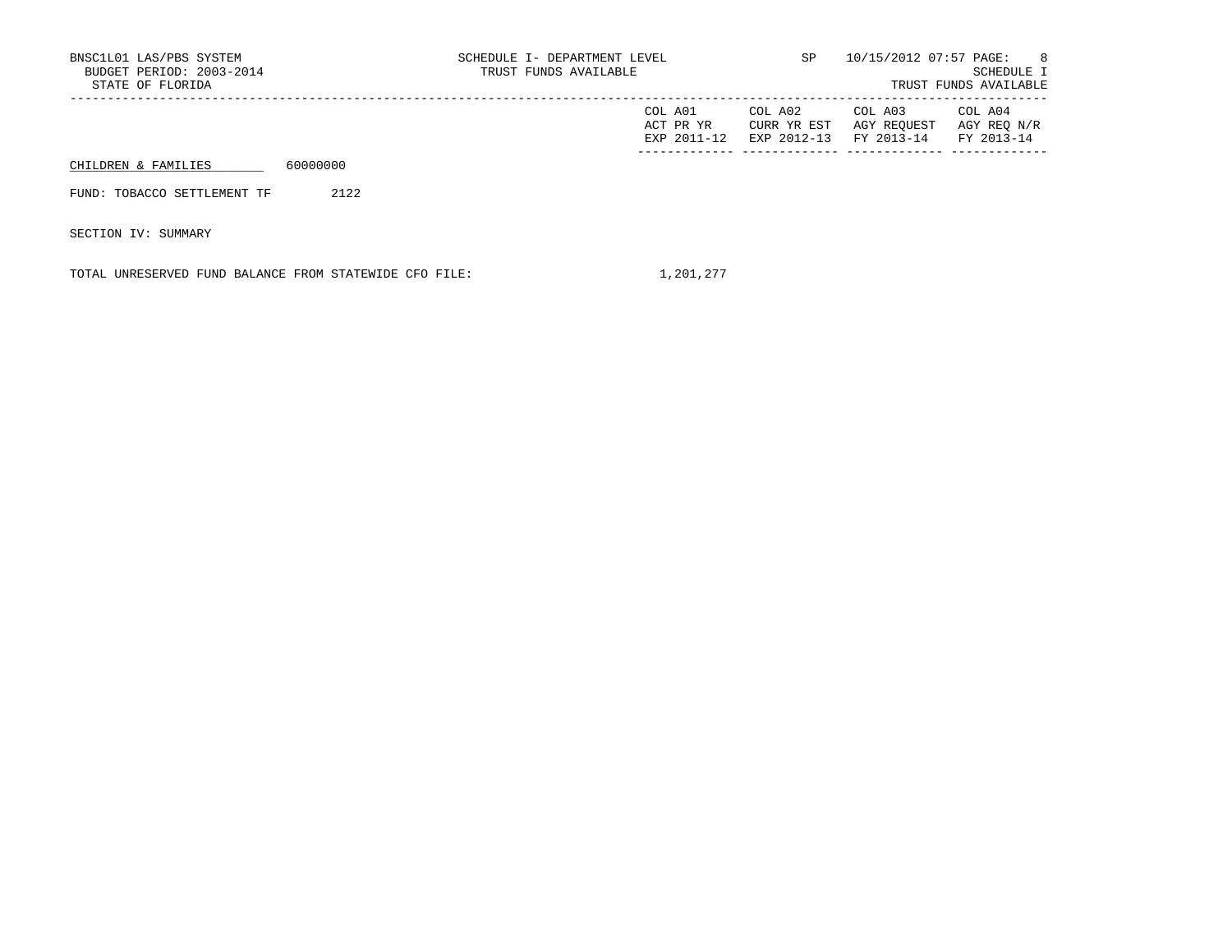| BNSC1L01 LAS/PBS SYSTEM<br>BUDGET PERIOD: 2003-2014<br>STATE OF FLORIDA |          | SCHEDULE I- DEPARTMENT LEVEL<br>TRUST FUNDS AVAILABLE | SP                                  | 10/15/2012 07:57 PAGE:                | - 8<br>SCHEDULE I<br>TRUST FUNDS AVAILABLE |                                      |
|-------------------------------------------------------------------------|----------|-------------------------------------------------------|-------------------------------------|---------------------------------------|--------------------------------------------|--------------------------------------|
|                                                                         |          |                                                       | COL A01<br>ACT PR YR<br>EXP 2011-12 | COL A02<br>CURR YR EST<br>EXP 2012-13 | COL A03<br>AGY REOUEST<br>FY 2013-14       | COL A04<br>AGY REO N/R<br>FY 2013-14 |
| CHILDREN & FAMILIES                                                     | 60000000 |                                                       |                                     |                                       |                                            |                                      |
| FUND: TOBACCO SETTLEMENT TF                                             | 2122     |                                                       |                                     |                                       |                                            |                                      |
| SECTION IV: SUMMARY                                                     |          |                                                       |                                     |                                       |                                            |                                      |

TOTAL UNRESERVED FUND BALANCE FROM STATEWIDE CFO FILE: 1,201,277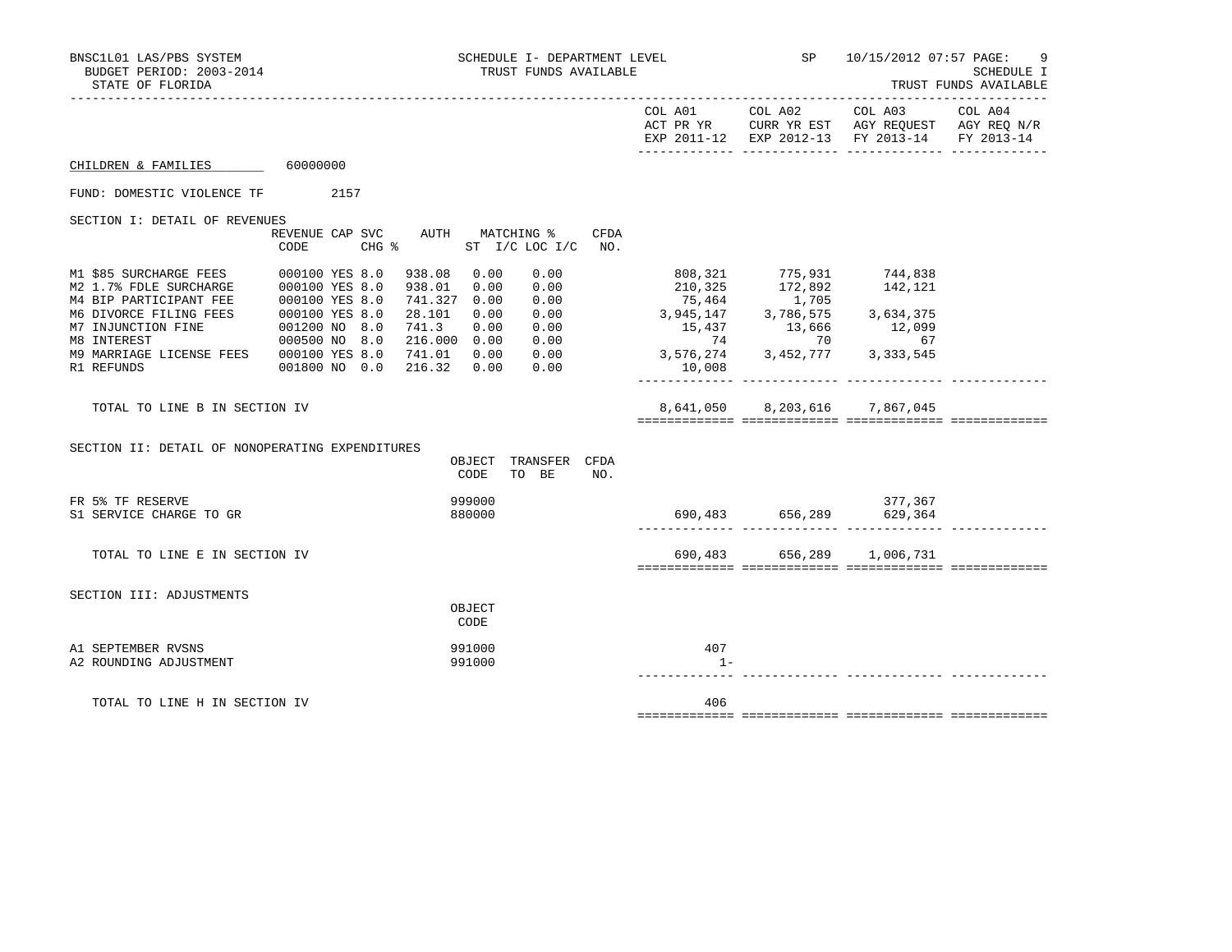| BNSC1L01 LAS/PBS SYSTEM<br>BUDGET PERIOD: 2003-2014<br>STATE OF FLORIDA |               | SCHEDULE I- DEPARTMENT LEVEL<br>TRUST FUNDS AVAILABLE                                                                                                  |                                                                                                                                                                                                                                                                                                                                         | SP 10/15/2012 07:57 PAGE:                   | 9<br>SCHEDULE I<br>TRUST FUNDS AVAILABLE                                                       |  |
|-------------------------------------------------------------------------|---------------|--------------------------------------------------------------------------------------------------------------------------------------------------------|-----------------------------------------------------------------------------------------------------------------------------------------------------------------------------------------------------------------------------------------------------------------------------------------------------------------------------------------|---------------------------------------------|------------------------------------------------------------------------------------------------|--|
|                                                                         |               |                                                                                                                                                        |                                                                                                                                                                                                                                                                                                                                         |                                             | ACT PR YR CURR YR EST AGY REQUEST AGY REQ N/R<br>EXP 2011-12 EXP 2012-13 FY 2013-14 FY 2013-14 |  |
| CHILDREN & FAMILIES 60000000                                            |               |                                                                                                                                                        |                                                                                                                                                                                                                                                                                                                                         |                                             |                                                                                                |  |
| FUND: DOMESTIC VIOLENCE TF 2157                                         |               |                                                                                                                                                        |                                                                                                                                                                                                                                                                                                                                         |                                             |                                                                                                |  |
| SECTION I: DETAIL OF REVENUES                                           | CODE          | REVENUE CAP SVC AUTH MATCHING %<br>CHG % ST I/C LOC I/C NO.                                                                                            | CFDA                                                                                                                                                                                                                                                                                                                                    |                                             |                                                                                                |  |
| M9 MARRIAGE LICENSE FEES 000100 YES 8.0<br>R1 REFUNDS                   | 001800 NO 0.0 | 938.08 0.00<br>0.00<br>938.01<br>0.00<br>0.00<br>741.327 0.00<br>28.101<br>0.00<br>741.3<br>0.00<br>216.000 0.00<br>741.01 0.00<br>216.32 0.00<br>0.00 | 210,325<br>$\begin{array}{ccccccc} 0.00 & & & & & & 210,32 & & & 172,64 & & & & 142,121 \\ 0.00 & & & & & & 75,464 & & 1,705 & & & & 142,121 \\ 0.00 & & & & & 3,945,147 & & 3,786,575 & & 3,634,375 \\ 0.00 & & & & & 15,437 & & 13,666 & & 12,099 \\ 0.00 & & & & & & 74 & & 70 & & 67 \\ 0.00 & & & & & 3,576,274 & & 3,4$<br>10,008 | 808,321 775,931 744,838<br>172,892<br>1.705 | 142,121                                                                                        |  |
| TOTAL TO LINE B IN SECTION IV                                           |               |                                                                                                                                                        |                                                                                                                                                                                                                                                                                                                                         | 8,641,050 8,203,616 7,867,045               |                                                                                                |  |
| SECTION II: DETAIL OF NONOPERATING EXPENDITURES                         |               | OBJECT TRANSFER CFDA<br>TO BE<br>CODE                                                                                                                  | NO.                                                                                                                                                                                                                                                                                                                                     |                                             |                                                                                                |  |
| FR 5% TF RESERVE<br>S1 SERVICE CHARGE TO GR                             |               | 999000<br>880000                                                                                                                                       |                                                                                                                                                                                                                                                                                                                                         |                                             |                                                                                                |  |
| TOTAL TO LINE E IN SECTION IV                                           |               |                                                                                                                                                        |                                                                                                                                                                                                                                                                                                                                         | 690,483 656,289 1,006,731                   |                                                                                                |  |
| SECTION III: ADJUSTMENTS                                                |               | OBJECT<br>CODE                                                                                                                                         |                                                                                                                                                                                                                                                                                                                                         |                                             |                                                                                                |  |
| A1 SEPTEMBER RVSNS<br>A2 ROUNDING ADJUSTMENT                            |               | 991000<br>991000                                                                                                                                       | 407<br>$1 -$                                                                                                                                                                                                                                                                                                                            |                                             |                                                                                                |  |
| TOTAL TO LINE H IN SECTION IV                                           |               |                                                                                                                                                        | 406                                                                                                                                                                                                                                                                                                                                     |                                             |                                                                                                |  |
|                                                                         |               |                                                                                                                                                        |                                                                                                                                                                                                                                                                                                                                         |                                             |                                                                                                |  |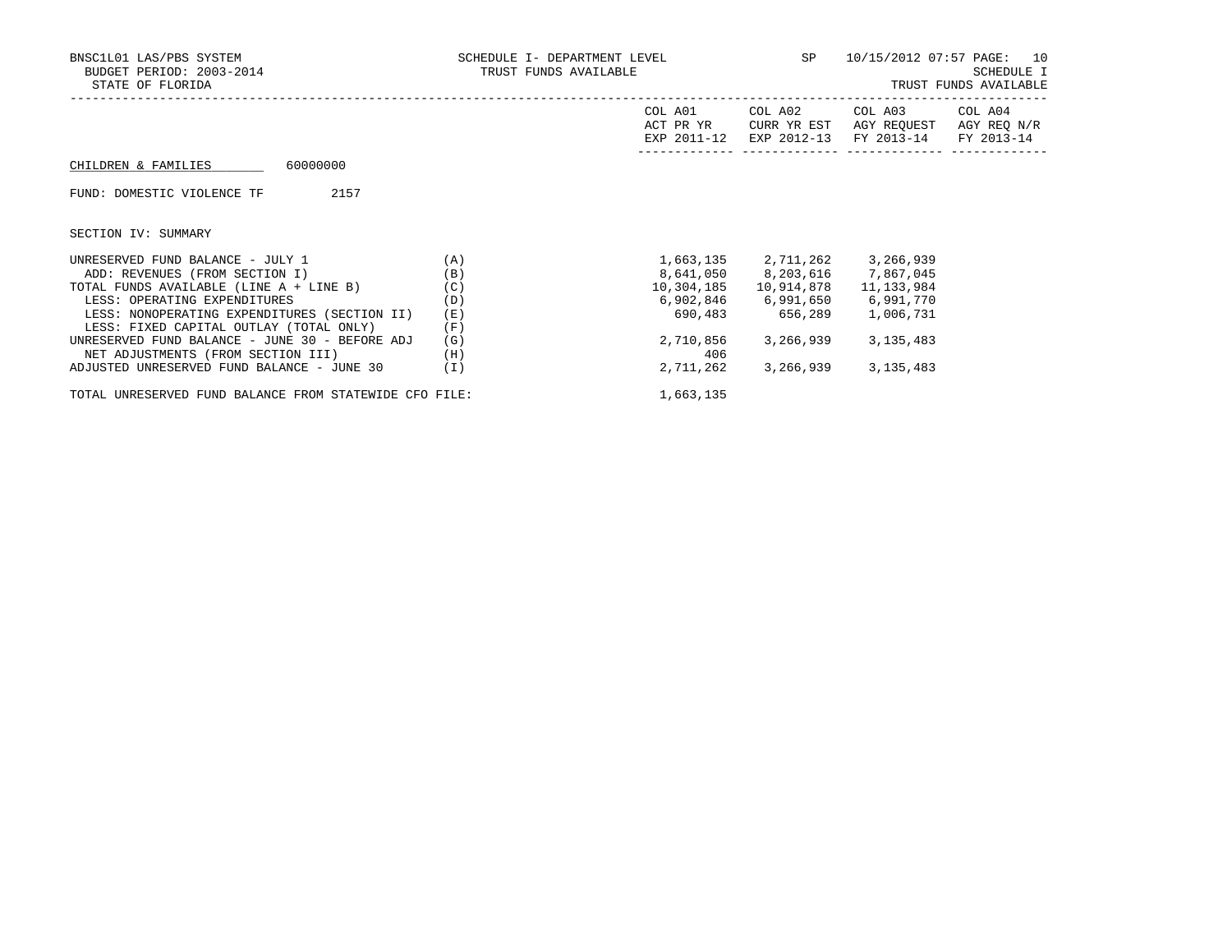| BNSC1L01 LAS/PBS SYSTEM<br>BUDGET PERIOD: 2003-2014<br>STATE OF FLORIDA | SCHEDULE I- DEPARTMENT LEVEL SP 10/15/2012 07:57 PAGE: 10<br>TRUST FUNDS AVAILABLE |            |                               | SCHEDULE I<br>TRUST FUNDS AVAILABLE                                                                               |         |  |
|-------------------------------------------------------------------------|------------------------------------------------------------------------------------|------------|-------------------------------|-------------------------------------------------------------------------------------------------------------------|---------|--|
|                                                                         |                                                                                    | COL A01    |                               | COL A02 COL A03<br>ACT PR YR CURR YR EST AGY REOUEST AGY REO N/R<br>EXP 2011-12 EXP 2012-13 FY 2013-14 FY 2013-14 | COL A04 |  |
| 60000000<br>CHILDREN & FAMILIES                                         |                                                                                    |            |                               |                                                                                                                   |         |  |
| FUND: DOMESTIC VIOLENCE TF<br>2157                                      |                                                                                    |            |                               |                                                                                                                   |         |  |
| SECTION IV: SUMMARY                                                     |                                                                                    |            |                               |                                                                                                                   |         |  |
| UNRESERVED FUND BALANCE - JULY 1                                        | (A)                                                                                |            | 1,663,135 2,711,262           | 3,266,939                                                                                                         |         |  |
| ADD: REVENUES (FROM SECTION I)                                          | (B)                                                                                |            | 8,641,050 8,203,616 7,867,045 |                                                                                                                   |         |  |
| TOTAL FUNDS AVAILABLE (LINE A + LINE B)                                 | (C)                                                                                | 10,304,185 | 10,914,878                    | 11, 133, 984                                                                                                      |         |  |
| LESS: OPERATING EXPENDITURES                                            | (D)                                                                                |            | 6,902,846 6,991,650           | 6,991,770                                                                                                         |         |  |
| LESS: NONOPERATING EXPENDITURES (SECTION II)                            | (E)                                                                                |            | 690,483 656,289               | 1,006,731                                                                                                         |         |  |
| LESS: FIXED CAPITAL OUTLAY (TOTAL ONLY)                                 | (F)                                                                                |            |                               |                                                                                                                   |         |  |
| UNRESERVED FUND BALANCE - JUNE 30 - BEFORE ADJ                          | (G)                                                                                | 2,710,856  | 3,266,939                     | 3,135,483                                                                                                         |         |  |
| NET ADJUSTMENTS (FROM SECTION III)                                      | (H)                                                                                | 406        |                               |                                                                                                                   |         |  |
| ADJUSTED UNRESERVED FUND BALANCE - JUNE 30                              | (1)                                                                                | 2,711,262  | 3,266,939                     | 3,135,483                                                                                                         |         |  |

TOTAL UNRESERVED FUND BALANCE FROM STATEWIDE CFO FILE:  $1,663,135$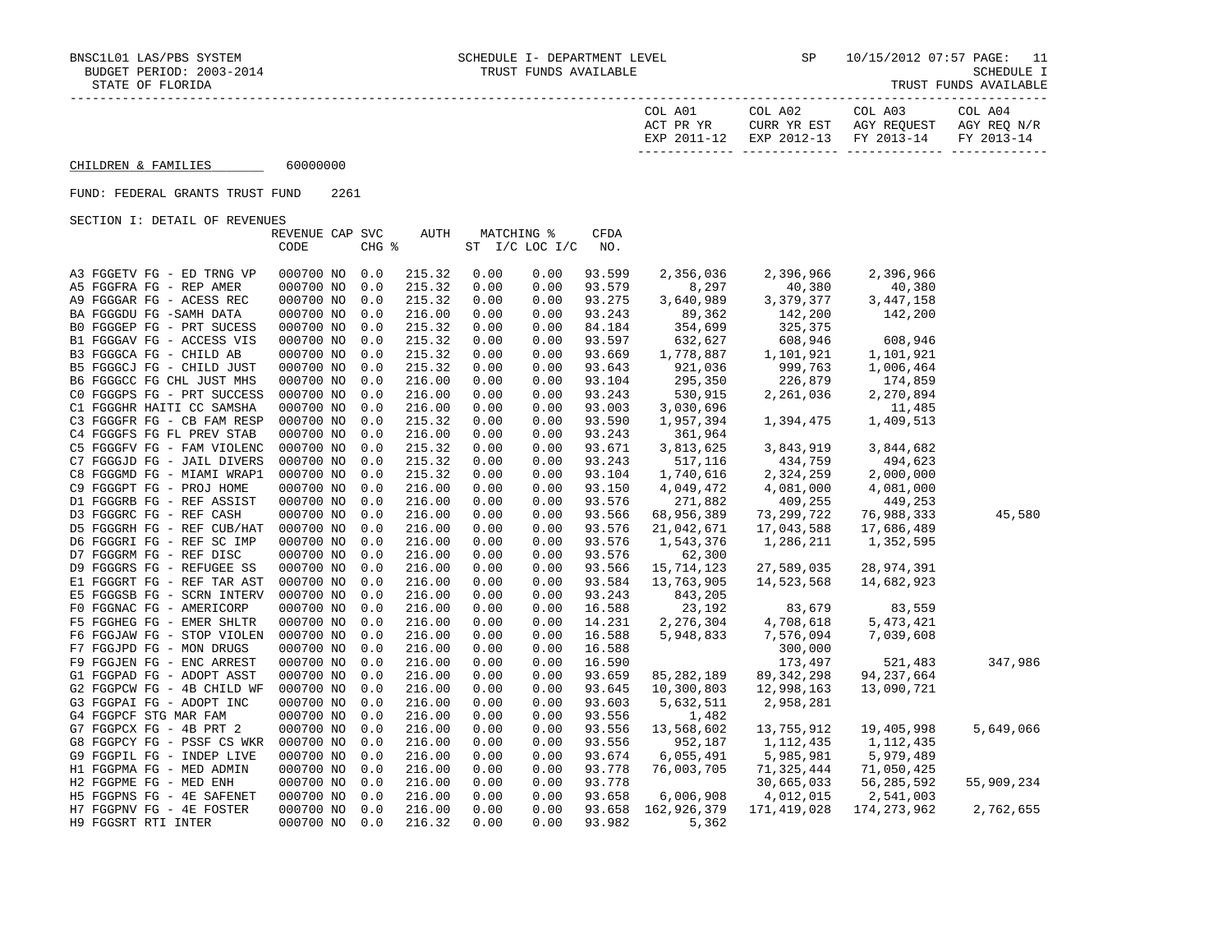| COL A01<br>ACT PR YR | COL A02<br>CURR YR EST            | COL A03<br>AGY REOUEST | COL A04<br>AGY REO N/R |
|----------------------|-----------------------------------|------------------------|------------------------|
| EXP 2011-12          | EXP 2012-13 FY 2013-14 FY 2013-14 |                        |                        |

 $CHILDREN & FAMILIES$  60000000

## FUND: FEDERAL GRANTS TRUST FUND 2261

SECTION I: DETAIL OF REVENUES

|                            | REVENUE CAP SVC |       | AUTH   | <b>MATCHING %</b> |                | <b>CFDA</b> |              |              |               |            |
|----------------------------|-----------------|-------|--------|-------------------|----------------|-------------|--------------|--------------|---------------|------------|
|                            | CODE            | CHG % |        |                   | ST I/C LOC I/C | NO.         |              |              |               |            |
|                            |                 |       |        |                   |                |             |              |              |               |            |
| A3 FGGETV FG - ED TRNG VP  | 000700 NO       | 0.0   | 215.32 | 0.00              | 0.00           | 93.599      | 2,356,036    | 2,396,966    | 2,396,966     |            |
| A5 FGGFRA FG - REP AMER    | 000700 NO       | 0.0   | 215.32 | 0.00              | 0.00           | 93.579      | 8,297        | 40,380       | 40,380        |            |
| A9 FGGGAR FG - ACESS REC   | 000700 NO       | 0.0   | 215.32 | 0.00              | 0.00           | 93.275      | 3,640,989    | 3,379,377    | 3,447,158     |            |
| BA FGGGDU FG -SAMH DATA    | 000700 NO       | 0.0   | 216.00 | 0.00              | 0.00           | 93.243      | 89,362       | 142,200      | 142,200       |            |
| BO FGGGEP FG - PRT SUCESS  | 000700 NO       | 0.0   | 215.32 | 0.00              | 0.00           | 84.184      | 354,699      | 325,375      |               |            |
| B1 FGGGAV FG - ACCESS VIS  | 000700 NO       | 0.0   | 215.32 | 0.00              | 0.00           | 93.597      | 632,627      | 608,946      | 608,946       |            |
| B3 FGGGCA FG - CHILD AB    | 000700 NO       | 0.0   | 215.32 | 0.00              | 0.00           | 93.669      | 1,778,887    | 1,101,921    | 1,101,921     |            |
| B5 FGGGCJ FG - CHILD JUST  | 000700 NO       | 0.0   | 215.32 | 0.00              | 0.00           | 93.643      | 921,036      | 999,763      | 1,006,464     |            |
| B6 FGGGCC FG CHL JUST MHS  | 000700 NO       | 0.0   | 216.00 | 0.00              | 0.00           | 93.104      | 295,350      | 226,879      | 174,859       |            |
| CO FGGGPS FG - PRT SUCCESS | 000700 NO       | 0.0   | 216.00 | 0.00              | 0.00           | 93.243      | 530,915      | 2,261,036    | 2,270,894     |            |
| C1 FGGGHR HAITI CC SAMSHA  | 000700 NO       | 0.0   | 216.00 | 0.00              | 0.00           | 93.003      | 3,030,696    |              | 11,485        |            |
| C3 FGGGFR FG - CB FAM RESP | 000700 NO       | 0.0   | 215.32 | 0.00              | 0.00           | 93.590      | 1,957,394    | 1,394,475    | 1,409,513     |            |
| C4 FGGGFS FG FL PREV STAB  | 000700 NO       | 0.0   | 216.00 | 0.00              | 0.00           | 93.243      | 361,964      |              |               |            |
| C5 FGGGFV FG - FAM VIOLENC | 000700 NO       | 0.0   | 215.32 | 0.00              | 0.00           | 93.671      | 3,813,625    | 3,843,919    | 3,844,682     |            |
| C7 FGGGJD FG - JAIL DIVERS | 000700 NO       | 0.0   | 215.32 | 0.00              | 0.00           | 93.243      | 517,116      | 434,759      | 494,623       |            |
| C8 FGGGMD FG - MIAMI WRAP1 | 000700 NO       | 0.0   | 215.32 | 0.00              | 0.00           | 93.104      | 1,740,616    | 2,324,259    | 2,000,000     |            |
| C9 FGGGPT FG - PROJ HOME   | 000700 NO       | 0.0   | 216.00 | 0.00              | 0.00           | 93.150      | 4,049,472    | 4,081,000    | 4,081,000     |            |
| D1 FGGGRB FG - REF ASSIST  | 000700 NO       | 0.0   | 216.00 | 0.00              | 0.00           | 93.576      | 271,882      | 409,255      | 449,253       |            |
| D3 FGGGRC FG - REF CASH    | 000700 NO       | 0.0   | 216.00 | 0.00              | 0.00           | 93.566      | 68,956,389   | 73,299,722   | 76,988,333    | 45,580     |
| D5 FGGGRH FG - REF CUB/HAT | 000700 NO       | 0.0   | 216.00 | 0.00              | 0.00           | 93.576      | 21,042,671   | 17,043,588   | 17,686,489    |            |
| D6 FGGGRI FG - REF SC IMP  | 000700 NO       | 0.0   | 216.00 | 0.00              | 0.00           | 93.576      | 1,543,376    | 1,286,211    | 1,352,595     |            |
| D7 FGGGRM FG - REF DISC    | 000700 NO       | 0.0   | 216.00 | 0.00              | 0.00           | 93.576      | 62,300       |              |               |            |
| D9 FGGGRS FG - REFUGEE SS  | 000700 NO       | 0.0   | 216.00 | 0.00              | 0.00           | 93.566      | 15,714,123   | 27,589,035   | 28,974,391    |            |
| E1 FGGGRT FG - REF TAR AST | 000700 NO       | 0.0   | 216.00 | 0.00              | 0.00           | 93.584      | 13,763,905   | 14,523,568   | 14,682,923    |            |
| E5 FGGGSB FG - SCRN INTERV | 000700 NO       | 0.0   | 216.00 | 0.00              | 0.00           | 93.243      | 843,205      |              |               |            |
| F0 FGGNAC FG - AMERICORP   | 000700 NO       | 0.0   | 216.00 | 0.00              | 0.00           | 16.588      | 23,192       | 83,679       | 83,559        |            |
| F5 FGGHEG FG - EMER SHLTR  | 000700 NO       | 0.0   | 216.00 | 0.00              | 0.00           | 14.231      | 2,276,304    | 4,708,618    | 5,473,421     |            |
| F6 FGGJAW FG - STOP VIOLEN | 000700 NO       | 0.0   | 216.00 | 0.00              | 0.00           | 16.588      | 5,948,833    | 7,576,094    | 7,039,608     |            |
| F7 FGGJPD FG - MON DRUGS   | 000700 NO       | 0.0   | 216.00 | 0.00              | 0.00           | 16.588      |              | 300,000      |               |            |
| F9 FGGJEN FG - ENC ARREST  | 000700 NO       | 0.0   | 216.00 | 0.00              | 0.00           | 16.590      |              | 173,497      | 521,483       | 347,986    |
| G1 FGGPAD FG - ADOPT ASST  | 000700 NO       | 0.0   | 216.00 | 0.00              | 0.00           | 93.659      | 85, 282, 189 | 89, 342, 298 | 94,237,664    |            |
| G2 FGGPCW FG - 4B CHILD WF | 000700 NO       | 0.0   | 216.00 | 0.00              | 0.00           | 93.645      | 10,300,803   | 12,998,163   | 13,090,721    |            |
| G3 FGGPAI FG - ADOPT INC   | 000700 NO       | 0.0   | 216.00 | 0.00              | 0.00           | 93.603      | 5,632,511    | 2,958,281    |               |            |
| G4 FGGPCF STG MAR FAM      | 000700 NO       | 0.0   | 216.00 | 0.00              | 0.00           | 93.556      | 1,482        |              |               |            |
| G7 FGGPCX FG - 4B PRT 2    | 000700 NO       | 0.0   | 216.00 | 0.00              | 0.00           | 93.556      | 13,568,602   | 13,755,912   | 19,405,998    | 5,649,066  |
| G8 FGGPCY FG - PSSF CS WKR | 000700 NO       | 0.0   | 216.00 | 0.00              | 0.00           | 93.556      | 952,187      | 1,112,435    | 1,112,435     |            |
| G9 FGGPIL FG - INDEP LIVE  | 000700 NO       | 0.0   | 216.00 | 0.00              | 0.00           | 93.674      | 6,055,491    | 5,985,981    | 5,979,489     |            |
| H1 FGGPMA FG - MED ADMIN   | 000700 NO       | 0.0   | 216.00 | 0.00              | 0.00           | 93.778      | 76,003,705   | 71,325,444   | 71,050,425    |            |
| H2 FGGPME FG - MED ENH     | 000700 NO       | 0.0   | 216.00 | 0.00              | 0.00           | 93.778      |              | 30,665,033   | 56,285,592    | 55,909,234 |
| H5 FGGPNS FG - 4E SAFENET  | 000700 NO       | 0.0   | 216.00 | 0.00              | 0.00           | 93.658      | 6,006,908    | 4,012,015    | 2,541,003     |            |
| H7 FGGPNV FG - 4E FOSTER   | 000700 NO       | 0.0   | 216.00 | 0.00              | 0.00           | 93.658      | 162,926,379  | 171,419,028  | 174, 273, 962 | 2,762,655  |
| H9 FGGSRT RTI INTER        | 000700 NO       | 0.0   | 216.32 | 0.00              | 0.00           | 93.982      | 5,362        |              |               |            |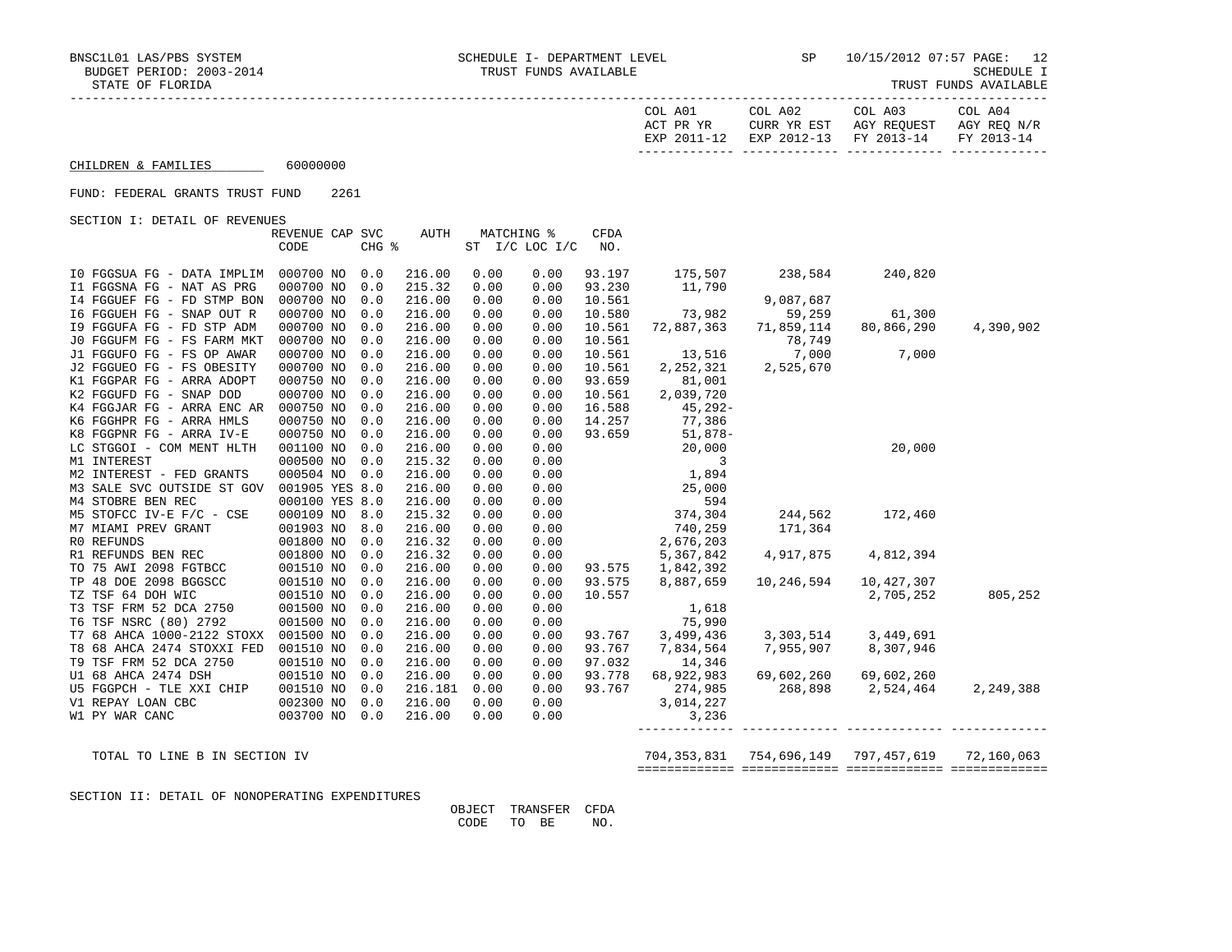|  | TRUST FUNDS AVAILABLE |  |
|--|-----------------------|--|
|  |                       |  |

|                                         | COL A01<br>ACT PR YR<br>EXP 2011-12 | COL A02<br>CURR YR EST<br>EXP 2012-13 FY 2013-14 | COL A03<br>AGY REOUEST | COL A04<br>AGY REO N/R<br>FY 2013-14 |
|-----------------------------------------|-------------------------------------|--------------------------------------------------|------------------------|--------------------------------------|
| 60000000<br>CHILDREN & FAMILIES         |                                     |                                                  |                        |                                      |
| 2261<br>FUND: FEDERAL GRANTS TRUST FUND |                                     |                                                  |                        |                                      |
| SECTION I: DETAIL OF REVENUES           |                                     |                                                  |                        |                                      |

REVENUE CAP SVC AUTH MATCHING % CFDA CODE CHG % ST I/C LOC I/C NO. I0 FGGSUA FG - DATA IMPLIM 000700 NO 0.0 216.00 0.00 0.00 93.197 175,507 238,584 240,820 I1 FGGSNA FG - NAT AS PRG 000700 NO 0.0 215.32 0.00 0.00 93.230 11,790 I4 FGGUEF FG - FD STMP BON 000700 NO 0.0 216.00 0.00 0.00 10.561 9,087,687 I6 FGGUEH FG - SNAP OUT R 000700 NO 0.0 216.00 0.00 0.00 10.580 73,982 59,259 61,300 I9 FGGUFA FG - FD STP ADM 000700 NO 0.0 216.00 0.00 0.00 10.561 72,887,363 71,859,114 80,866,290 4,390,902 J0 FGGUFM FG - FS FARM MKT 000700 NO 0.0 216.00 0.00 0.00 10.561 78,749 J1 FGGUFO FG - FS OP AWAR 000700 NO 0.0 216.00 0.00 0.00 10.561 13,516 7,000 7,000 J2 FGGUEO FG - FS OBESITY 000700 NO 0.0 216.00 0.00 0.00 10.561 2,252,321 2,525,670 K1 FGGPAR FG - ARRA ADOPT 000750 NO 0.0 216.00 0.00 0.00 93.659 81,001 K2 FGGUFD FG - SNAP DOD 000700 NO 0.0 216.00 0.00 0.00 10.561 2,039,720 K4 FGGJAR FG - ARRA ENC AR 000750 NO 0.0 216.00 0.00 0.00 16.588 45,292- K6 FGGHPR FG - ARRA HMLS 000750 NO 0.0 216.00 0.00 0.00 14.257 77,386 K8 FGGPNR FG - ARRA IV-E 000750 NO 0.0 216.00 0.00 0.00 93.659 51,878- LC STGGOI - COM MENT HLTH 001100 NO 0.0 216.00 0.00 0.00 20,000 20,000 M1 INTEREST 6000500 NO 0.0 215.32 0.00 0.00 3 M2 INTEREST - FED GRANTS 000504 NO 0.0 216.00 0.00 0.00 1,894 M3 SALE SVC OUTSIDE ST GOV 001905 YES 8.0 216.00 0.00 0.00 25,000 M4 STOBRE BEN REC 000100 YES 8.0 216.00 0.00 0.00 594 M5 STOFCC IV-E F/C - CSE 000109 NO 8.0 215.32 0.00 0.00 374,304 244,562 172,460 M7 MIAMI PREV GRANT 001903 NO 8.0 216.00 0.00 0.00 740,259 171,364 R0 REFUNDS 001800 NO 0.0 216.32 0.00 0.00 2,676,203 R1 REFUNDS BEN REC 001800 NO 0.0 216.32 0.00 0.00 5,367,842 4,917,875 4,812,394 TO 75 AWI 2098 FGTBCC 001510 NO 0.0 216.00 0.00 0.00 93.575 1,842,392 TP 48 DOE 2098 BGGSCC 001510 NO 0.0 216.00 0.00 0.00 93.575 8,887,659 10,246,594 10,427,307 TZ TSF 64 DOH WIC 001510 NO 0.0 216.00 0.00 0.00 10.557 252 2,705,252 805,252 T3 TSF FRM 52 DCA 2750 001500 NO 0.0 216.00 0.00 0.00 1,618 T6 TSF NSRC (80) 2792 001500 NO 0.0 216.00 0.00 0.00 75,990 T7 68 AHCA 1000-2122 STOXX 001500 NO 0.0 216.00 0.00 0.00 93.767 3,499,436 3,303,514 3,449,691 T8 68 AHCA 2474 STOXXI FED 001510 NO 0.0 216.00 0.00 0.00 93.767 7,834,564 7,955,907 8,307,946 T9 TSF FRM 52 DCA 2750 001510 NO 0.0 216.00 0.00 0.00 97.032 14,346 U1 68 AHCA 2474 DSH 001510 NO 0.0 216.00 0.00 0.00 93.778 68,922,983 69,602,260 69,602,260 U5 FGGPCH - TLE XXI CHIP 001510 NO 0.0 216.181 0.00 0.00 93.767 274,985 268,898 2,524,464 2,249,388 V1 REPAY LOAN CBC 002300 NO 0.0 216.00 0.00 0.00 3,014,227 N1 PY WAR CANC 003700 NO 0.0 216.00 0.00 0.00 3,236 003700 NO 0.0 216.00 0.00 0.00 ------------- ------------- ------------- -------------

 TOTAL TO LINE B IN SECTION IV 704,353,831 754,696,149 797,457,619 72,160,063 ============= ============= ============= =============

SECTION II: DETAIL OF NONOPERATING EXPENDITURES

 OBJECT TRANSFER CFDA CODE TO BE NO.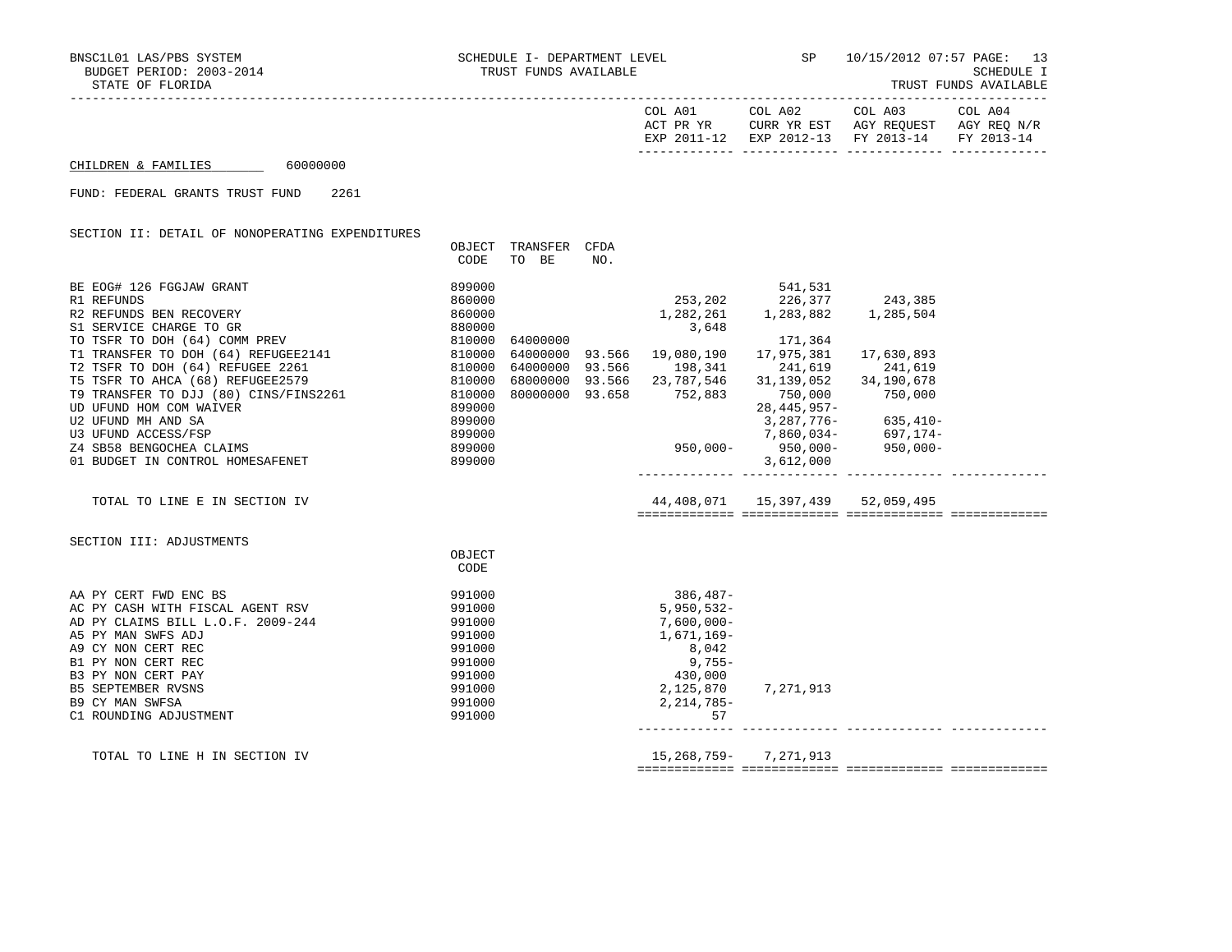|  | TRUST | <b>FUNDS</b> | AVAILABLE |
|--|-------|--------------|-----------|
|--|-------|--------------|-----------|

|                                                                                                               |                  |                      |     | COL A01                    | COL A02<br>ACT PR YR CURR YR EST AGY REQUEST AGY REQ N/R<br>EXP 2011-12 EXP 2012-13 FY 2013-14 FY 2013-14 | COL A03    | COL A04 |
|---------------------------------------------------------------------------------------------------------------|------------------|----------------------|-----|----------------------------|-----------------------------------------------------------------------------------------------------------|------------|---------|
| 60000000<br>CHILDREN & FAMILIES                                                                               |                  |                      |     |                            |                                                                                                           |            |         |
| FUND: FEDERAL GRANTS TRUST FUND<br>2261                                                                       |                  |                      |     |                            |                                                                                                           |            |         |
| SECTION II: DETAIL OF NONOPERATING EXPENDITURES                                                               |                  |                      |     |                            |                                                                                                           |            |         |
|                                                                                                               |                  | OBJECT TRANSFER CFDA |     |                            |                                                                                                           |            |         |
|                                                                                                               | CODE             | TO BE                | NO. |                            |                                                                                                           |            |         |
| BE EOG# 126 FGGJAW GRANT                                                                                      | 899000           |                      |     |                            | 541,531                                                                                                   |            |         |
| R1 REFUNDS                                                                                                    | 860000           |                      |     | 253,202                    | 226,377                                                                                                   | 243,385    |         |
| R2 REFUNDS BEN RECOVERY                                                                                       | 860000           |                      |     |                            | 1,282,261 1,283,882                                                                                       | 1,285,504  |         |
| S1 SERVICE CHARGE TO GR                                                                                       | 880000           |                      |     | 3,648                      |                                                                                                           |            |         |
| TO TSFR TO DOH (64) COMM PREV                                                                                 |                  | 810000 64000000      |     |                            | 171,364                                                                                                   |            |         |
| T1 TRANSFER TO DOH (64) REFUGEE2141 810000                                                                    |                  |                      |     | 64000000 93.566 19,080,190 | 17,975,381                                                                                                | 17,630,893 |         |
| T2 TSFR TO DOH (64) REFUGEE 2261<br>810000 64000000 93.566     198,341<br>810000 68000000 93.566   23,787,546 |                  |                      |     |                            | 241,619                                                                                                   | 241,619    |         |
| T5 TSFR TO AHCA (68) REFUGEE2579                                                                              |                  |                      |     |                            | 31,139,052                                                                                                | 34,190,678 |         |
| T9 TRANSFER TO DJJ (80) CINS/FINS2261 810000 80000000 93.658<br>UD UFUND HOM COM WAIVER                       | 899000           |                      |     | 752,883                    | 750,000<br>28, 445, 957-                                                                                  | 750,000    |         |
| U2 UFUND MH AND SA                                                                                            | 899000           |                      |     |                            |                                                                                                           |            |         |
| U3 UFUND ACCESS/FSP                                                                                           | 899000           |                      |     |                            |                                                                                                           |            |         |
| Z4 SB58 BENGOCHEA CLAIMS                                                                                      | 899000           |                      |     |                            | –635, 410<br>–417, 637, 776, 7, 860, 7, 860, 034<br>–950, 000 – 950, 000 – 950, 000                       |            |         |
| 01 BUDGET IN CONTROL HOMESAFENET                                                                              | 899000           |                      |     |                            | 3,612,000                                                                                                 |            |         |
| TOTAL TO LINE E IN SECTION IV                                                                                 |                  |                      |     |                            | 44, 408, 071  15, 397, 439  52, 059, 495                                                                  |            |         |
| SECTION III: ADJUSTMENTS                                                                                      |                  |                      |     |                            |                                                                                                           |            |         |
|                                                                                                               | OBJECT           |                      |     |                            |                                                                                                           |            |         |
|                                                                                                               | CODE             |                      |     |                            |                                                                                                           |            |         |
| AA PY CERT FWD ENC BS                                                                                         | 991000           |                      |     | 386,487-                   |                                                                                                           |            |         |
| AC PY CASH WITH FISCAL AGENT RSV                                                                              | 991000           |                      |     | 5,950,532-                 |                                                                                                           |            |         |
| AD PY CLAIMS BILL L.O.F. 2009-244                                                                             | 991000           |                      |     | $7,600,000 -$              |                                                                                                           |            |         |
| A5 PY MAN SWFS ADJ                                                                                            | 991000           |                      |     | 1,671,169-                 |                                                                                                           |            |         |
| A9 CY NON CERT REC                                                                                            | 991000           |                      |     | 8,042                      |                                                                                                           |            |         |
| B1 PY NON CERT REC                                                                                            | 991000           |                      |     | 9,755-                     |                                                                                                           |            |         |
| B3 PY NON CERT PAY                                                                                            | 991000           |                      |     | 430,000                    |                                                                                                           |            |         |
| <b>B5 SEPTEMBER RVSNS</b><br><b>B9 CY MAN SWFSA</b>                                                           | 991000<br>991000 |                      |     | 2,125,870<br>2, 214, 785-  | 7,271,913                                                                                                 |            |         |
| C1 ROUNDING ADJUSTMENT                                                                                        | 991000           |                      |     | 57                         |                                                                                                           |            |         |
|                                                                                                               |                  |                      |     |                            |                                                                                                           |            |         |

 TOTAL TO LINE H IN SECTION IV 15,268,759- 7,271,913 ============= ============= ============= =============

------------- ------------- ------------- -------------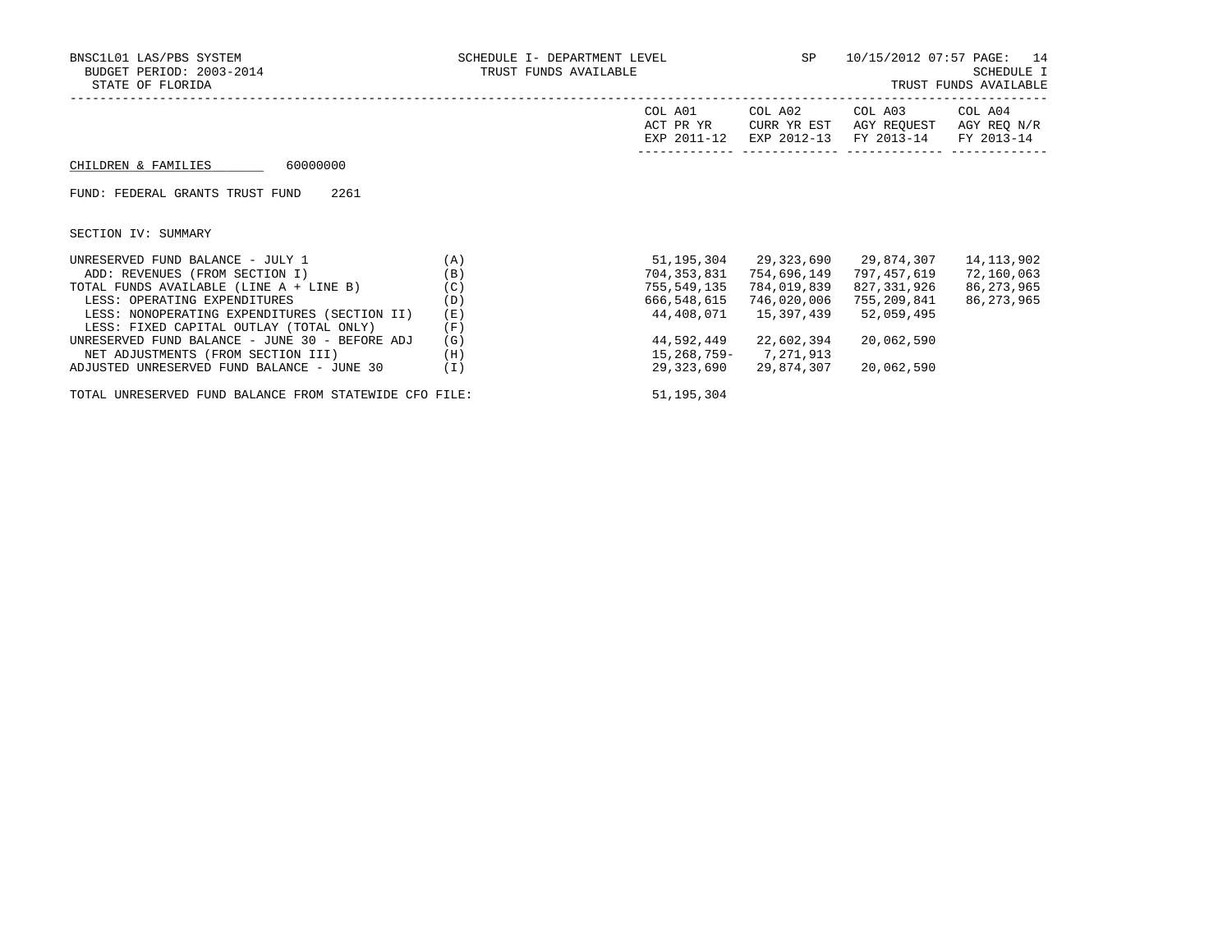| BNSC1L01 LAS/PBS SYSTEM<br>BUDGET PERIOD: 2003-2014<br>STATE OF FLORIDA | SCHEDULE I- DEPARTMENT LEVEL<br>TRUST FUNDS AVAILABLE | SP                                  | 10/15/2012 07:57 PAGE:                | 14<br>SCHEDULE I<br>TRUST FUNDS AVAILABLE |                                      |
|-------------------------------------------------------------------------|-------------------------------------------------------|-------------------------------------|---------------------------------------|-------------------------------------------|--------------------------------------|
|                                                                         |                                                       | COL A01<br>ACT PR YR<br>EXP 2011-12 | COL A02<br>CURR YR EST<br>EXP 2012-13 | COL A03<br>AGY REQUEST<br>FY 2013-14      | COL A04<br>AGY REO N/R<br>FY 2013-14 |
| 60000000<br>CHILDREN & FAMILIES                                         |                                                       |                                     |                                       |                                           |                                      |
| 2261<br>FUND: FEDERAL GRANTS TRUST FUND                                 |                                                       |                                     |                                       |                                           |                                      |
| SECTION IV: SUMMARY                                                     |                                                       |                                     |                                       |                                           |                                      |
| UNRESERVED FUND BALANCE - JULY 1                                        | (A)                                                   | 51,195,304                          | 29,323,690                            | 29,874,307                                | 14, 113, 902                         |
| ADD: REVENUES (FROM SECTION I)                                          | (B)                                                   | 704,353,831                         | 754,696,149                           | 797,457,619                               | 72,160,063                           |
| TOTAL FUNDS AVAILABLE (LINE A + LINE B)                                 | (C)                                                   | 755,549,135                         | 784,019,839                           | 827,331,926                               | 86, 273, 965                         |
| LESS: OPERATING EXPENDITURES                                            | (D)                                                   | 666,548,615                         | 746,020,006                           | 755,209,841                               | 86, 273, 965                         |
| LESS: NONOPERATING EXPENDITURES (SECTION II)                            | (E)                                                   | 44,408,071                          | 15,397,439                            | 52,059,495                                |                                      |
| LESS: FIXED CAPITAL OUTLAY (TOTAL ONLY)                                 | (F)                                                   |                                     |                                       |                                           |                                      |
| UNRESERVED FUND BALANCE - JUNE 30 - BEFORE ADJ                          | (G)                                                   | 44,592,449                          | 22,602,394                            | 20,062,590                                |                                      |
| NET ADJUSTMENTS (FROM SECTION III)                                      | (H)                                                   | 15,268,759-                         | 7,271,913                             |                                           |                                      |
| ADJUSTED UNRESERVED FUND BALANCE - JUNE 30                              | (I)                                                   | 29,323,690                          | 29,874,307                            | 20,062,590                                |                                      |

TOTAL UNRESERVED FUND BALANCE FROM STATEWIDE CFO FILE: 51,195,304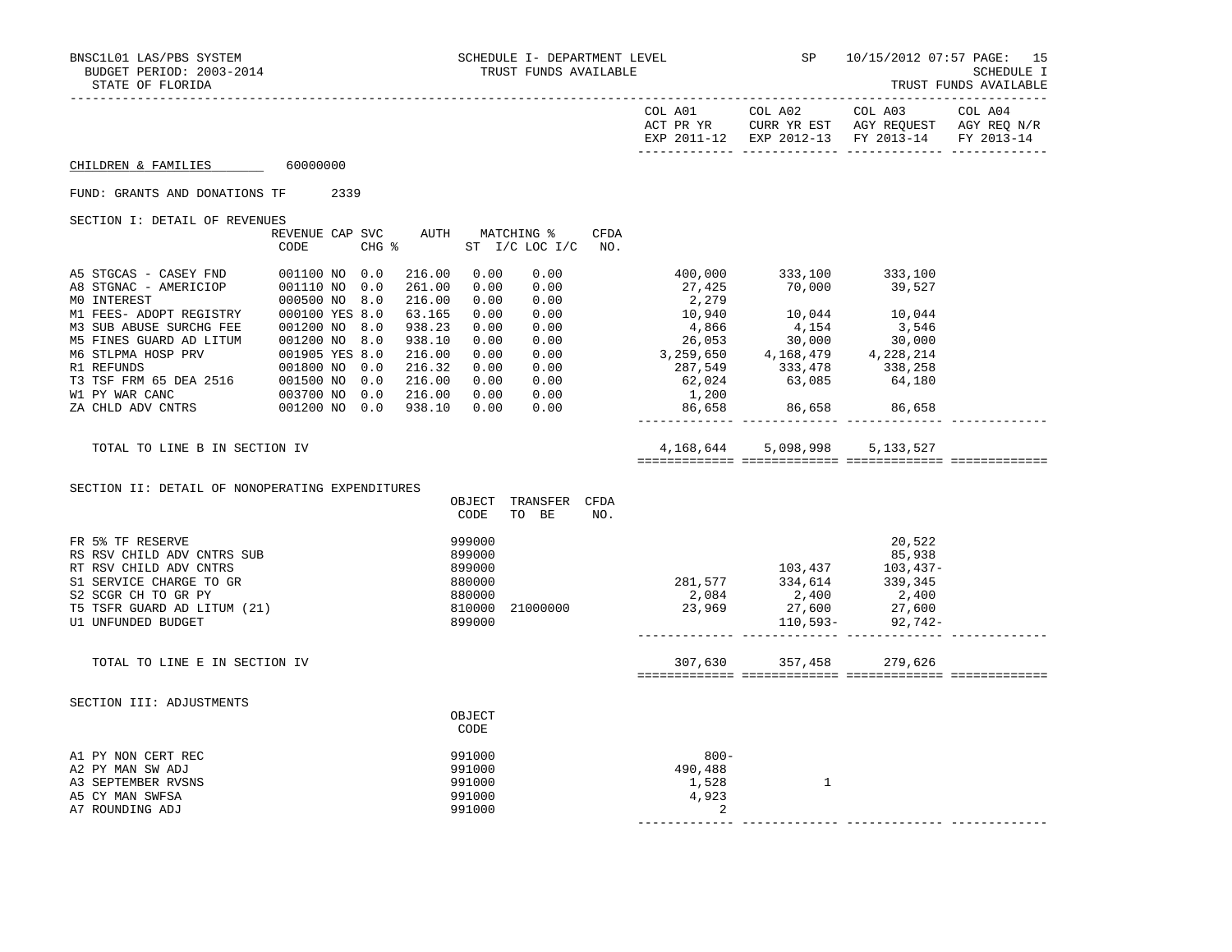------------- ------------- ------------- -------------

TRUST FUNDS AVAILABLE

|                                                                                                                                                                                                                                                                                                                                                       |      |  |                                                                                                  |                                                                              |                                                                                      |                         |                                                                                                                                                                                                                                                          |                                                 | EXP 2011-12 EXP 2012-13 FY 2013-14    | FY 2013-14 |
|-------------------------------------------------------------------------------------------------------------------------------------------------------------------------------------------------------------------------------------------------------------------------------------------------------------------------------------------------------|------|--|--------------------------------------------------------------------------------------------------|------------------------------------------------------------------------------|--------------------------------------------------------------------------------------|-------------------------|----------------------------------------------------------------------------------------------------------------------------------------------------------------------------------------------------------------------------------------------------------|-------------------------------------------------|---------------------------------------|------------|
| CHILDREN & FAMILIES 60000000                                                                                                                                                                                                                                                                                                                          |      |  |                                                                                                  |                                                                              |                                                                                      |                         |                                                                                                                                                                                                                                                          |                                                 |                                       |            |
| FUND: GRANTS AND DONATIONS TF 2339                                                                                                                                                                                                                                                                                                                    |      |  |                                                                                                  |                                                                              |                                                                                      |                         |                                                                                                                                                                                                                                                          |                                                 |                                       |            |
| SECTION I: DETAIL OF REVENUES                                                                                                                                                                                                                                                                                                                         | CODE |  |                                                                                                  |                                                                              | REVENUE CAP SVC AUTH MATCHING %<br>CHG % ST I/C LOC I/C                              | CFDA<br>NO <sub>z</sub> |                                                                                                                                                                                                                                                          |                                                 |                                       |            |
| A5 STGCAS - CASEY FND 001100 NO 0.0<br>M3 SUB ABUSE SURCHG FEE 001200 NO 8.0<br>M5 FINES GUARD AD LITUM 001200 NO 8.0<br>M5 FINES GUARD AD LITUM<br>M6 STLPMA HOSP PRV<br>R1 REFUNDS<br>T3 TSF FRM 65 DEA 2516<br>M1 PY WAR CANC<br>M1 PY WAR CANC<br>T3 TSF TRM 65 DEA 2516<br>001500 NO 0.0<br>M1 PY WAR CANC<br>T3 THID ADV CNTRS<br>001200 NO 0.0 |      |  | 216.00<br>261.00<br>216.00<br>63.165<br>938.23<br>938.10<br>216.00<br>216.32<br>216.00<br>216.00 | 0.00<br>0.00<br>0.00<br>0.00<br>0.00<br>0.00<br>0.00<br>0.00<br>0.00<br>0.00 | 0.00<br>0.00<br>0.00<br>0.00<br>0.00<br>0.00<br>0.00<br>0.00<br>0.00<br>0.00<br>0.00 |                         | $27,425$<br>$2,279$<br>$10,940$<br>$39,527$<br>$10,940$<br>$4,866$<br>$26,053$<br>$30,000$<br>$3,259,650$<br>$4,168,479$<br>$62,024$<br>$1,200$<br>$64,180$<br>$64,180$<br>$64,180$<br>$64,180$<br>$64,180$<br>$64,180$<br>$64,180$<br>$64,180$<br>1,200 | 400,000 333,100 333,100<br>86,658 86,658 86,658 |                                       |            |
| TOTAL TO LINE B IN SECTION IV<br>SECTION II: DETAIL OF NONOPERATING EXPENDITURES                                                                                                                                                                                                                                                                      |      |  | 938.10                                                                                           | 0.00                                                                         |                                                                                      |                         |                                                                                                                                                                                                                                                          | 4,168,644 5,098,998 5,133,527                   |                                       |            |
|                                                                                                                                                                                                                                                                                                                                                       |      |  |                                                                                                  | OBJECT<br>CODE                                                               | TRANSFER CFDA<br>TO BE                                                               | NO.                     |                                                                                                                                                                                                                                                          |                                                 |                                       |            |
| FR 5% TF RESERVE<br>RS RSV CHILD ADV CNTRS SUB<br>RT RSV CHILD ADV CNTRS<br>S1 SERVICE CHARGE TO GR<br>S2 SCGR CH TO GR PY<br>T5 TSFR GUARD AD LITUM (21)<br>U1 UNFUNDED BUDGET                                                                                                                                                                       |      |  |                                                                                                  | 999000<br>899000<br>899000<br>880000<br>880000<br>810000<br>899000           | 21000000                                                                             |                         | $281,577$<br>$2,084$<br>$2,969$<br>$27,600$<br>$27,600$<br>$27,600$<br>$27,600$<br>$27,600$                                                                                                                                                              |                                                 | 20,522<br>85,938<br>$110,593-92,742-$ |            |
| TOTAL TO LINE E IN SECTION IV                                                                                                                                                                                                                                                                                                                         |      |  |                                                                                                  |                                                                              |                                                                                      |                         |                                                                                                                                                                                                                                                          | 307,630 357,458 279,626                         |                                       |            |
| SECTION III: ADJUSTMENTS                                                                                                                                                                                                                                                                                                                              |      |  |                                                                                                  | OBJECT<br>CODE                                                               |                                                                                      |                         |                                                                                                                                                                                                                                                          |                                                 |                                       |            |
| A1 PY NON CERT REC<br>A2 PY MAN SW ADJ<br>A3 SEPTEMBER RVSNS<br>A5 CY MAN SWFSA<br>A7 ROUNDING ADJ                                                                                                                                                                                                                                                    |      |  |                                                                                                  | 991000<br>991000<br>991000<br>991000<br>991000                               |                                                                                      |                         | $800 -$<br>490,488<br>1,528<br>4,923<br>$\sim$ 2                                                                                                                                                                                                         | 1                                               |                                       |            |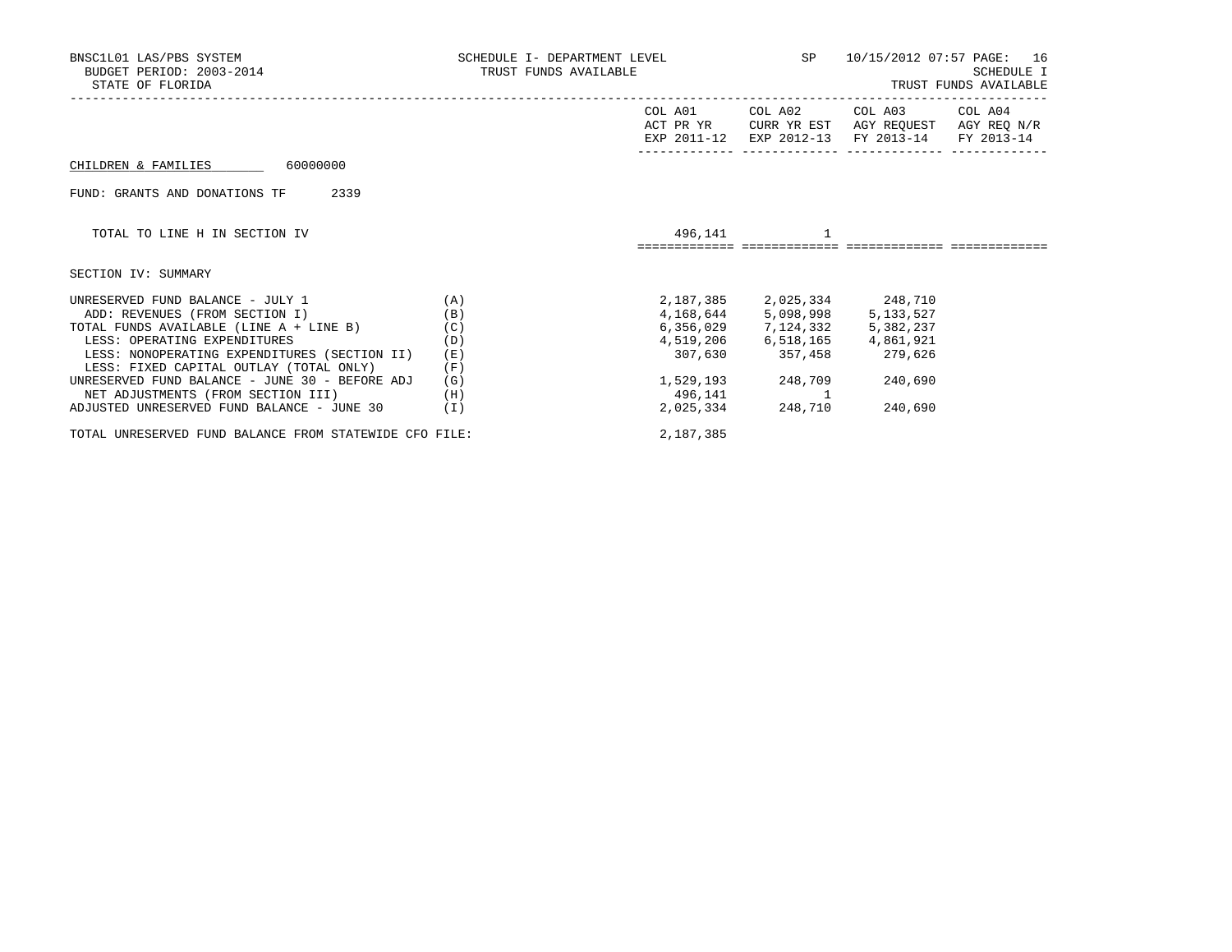| BNSC1L01 LAS/PBS SYSTEM<br>BUDGET PERIOD: 2003-2014<br>STATE OF FLORIDA | SCHEDULE I- DEPARTMENT LEVEL SP<br>TRUST FUNDS AVAILABLE |             |                                     |                                                                         | 10/15/2012 07:57 PAGE: 16<br><b>SCHEDULE I</b><br>TRUST FUNDS AVAILABLE |
|-------------------------------------------------------------------------|----------------------------------------------------------|-------------|-------------------------------------|-------------------------------------------------------------------------|-------------------------------------------------------------------------|
|                                                                         |                                                          | COL A01     | COL A02                             | COL A03                                                                 | COL A04                                                                 |
|                                                                         |                                                          | EXP 2011-12 |                                     | ACT PR YR CURR YR EST AGY REQUEST AGY REQ N/R<br>EXP 2012-13 FY 2013-14 | FY 2013-14                                                              |
| 600000000<br>CHILDREN & FAMILIES                                        |                                                          |             |                                     |                                                                         |                                                                         |
| 2339<br>FUND: GRANTS AND DONATIONS TF                                   |                                                          |             |                                     |                                                                         |                                                                         |
| TOTAL TO LINE H IN SECTION IV                                           |                                                          |             | 496,141                             |                                                                         |                                                                         |
| SECTION IV: SUMMARY                                                     |                                                          |             |                                     |                                                                         |                                                                         |
| UNRESERVED FUND BALANCE - JULY 1                                        | (A)                                                      |             | 2, 187, 385 2, 025, 334 248, 710    |                                                                         |                                                                         |
| ADD: REVENUES (FROM SECTION I)                                          | (B)                                                      |             | 4, 168, 644 5, 098, 998 5, 133, 527 |                                                                         |                                                                         |
| TOTAL FUNDS AVAILABLE (LINE A + LINE B)                                 | (C)                                                      |             | $6,356,029$ $7,124,332$             | 5,382,237                                                               |                                                                         |
| LESS: OPERATING EXPENDITURES                                            | (D)                                                      |             | 4,519,206 6,518,165 4,861,921       |                                                                         |                                                                         |
| LESS: NONOPERATING EXPENDITURES (SECTION II)                            | (E)                                                      |             | 307,630 357,458 279,626             |                                                                         |                                                                         |
| LESS: FIXED CAPITAL OUTLAY (TOTAL ONLY)                                 | (F)                                                      |             |                                     |                                                                         |                                                                         |
| UNRESERVED FUND BALANCE - JUNE 30 - BEFORE ADJ                          | (G)                                                      |             | 1,529,193 248,709                   | 240,690                                                                 |                                                                         |
| NET ADJUSTMENTS (FROM SECTION III)                                      | (H)                                                      | 496,141     |                                     |                                                                         |                                                                         |
| ADJUSTED UNRESERVED FUND BALANCE - JUNE 30                              | (I)                                                      |             | 2,025,334 248,710                   | 240,690                                                                 |                                                                         |
| TOTAL UNRESERVED FUND BALANCE FROM STATEWIDE CFO FILE:                  |                                                          | 2,187,385   |                                     |                                                                         |                                                                         |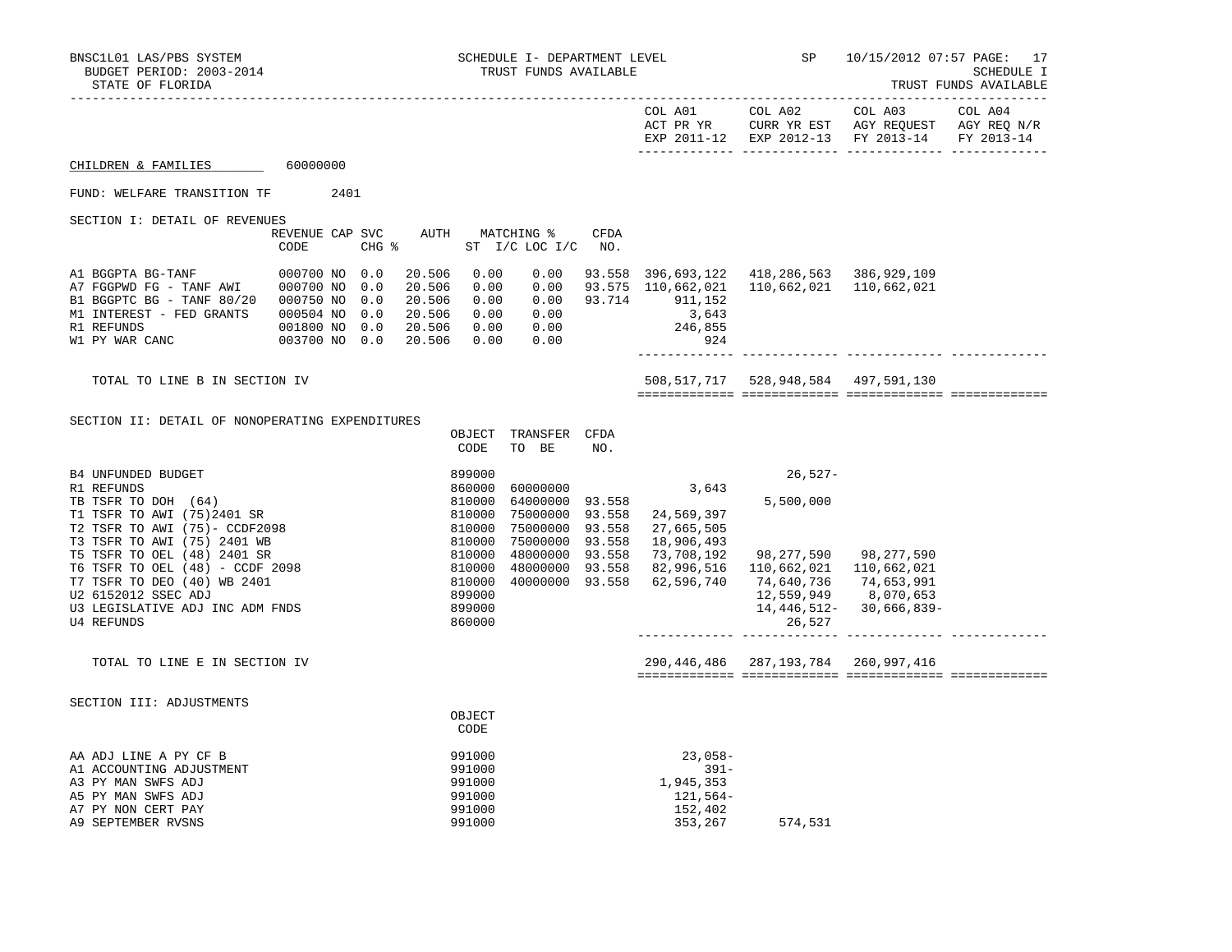|  |  | TRUST FUNDS AVAILABL! |
|--|--|-----------------------|
|--|--|-----------------------|

|                                                                                                                                                                                                                                                                                      |                                |  |                                                                                                   |                                                          |                                                |                  |                                                                                                                                                                                                   | COL A01 COL A02 COL A03<br>ACT PR YR $\,$ CURR YR EST $\,$ AGY REQUEST $\,$ AGY REQ $\rm N/R$<br>EXP 2011-12 EXP 2012-13 FY 2013-14 |                            | COL A04<br>FY 2013-14 |
|--------------------------------------------------------------------------------------------------------------------------------------------------------------------------------------------------------------------------------------------------------------------------------------|--------------------------------|--|---------------------------------------------------------------------------------------------------|----------------------------------------------------------|------------------------------------------------|------------------|---------------------------------------------------------------------------------------------------------------------------------------------------------------------------------------------------|-------------------------------------------------------------------------------------------------------------------------------------|----------------------------|-----------------------|
| CHILDREN & FAMILIES 60000000                                                                                                                                                                                                                                                         |                                |  |                                                                                                   |                                                          |                                                |                  |                                                                                                                                                                                                   |                                                                                                                                     |                            |                       |
| FUND: WELFARE TRANSITION TF 2401                                                                                                                                                                                                                                                     |                                |  |                                                                                                   |                                                          |                                                |                  |                                                                                                                                                                                                   |                                                                                                                                     |                            |                       |
| SECTION I: DETAIL OF REVENUES                                                                                                                                                                                                                                                        |                                |  |                                                                                                   |                                                          | REVENUE CAP SVC AUTH MATCHING %                | <b>CFDA</b>      |                                                                                                                                                                                                   |                                                                                                                                     |                            |                       |
|                                                                                                                                                                                                                                                                                      | CODE                           |  | $CHG$ $\approx$                                                                                   |                                                          | ST I/C LOC I/C NO.                             |                  |                                                                                                                                                                                                   |                                                                                                                                     |                            |                       |
| B1 BGGPTC BG - TANF 80/20 000750 NO 0.0<br>M1 INTEREST - FED GRANTS<br>R1 REFUNDS<br>W1 PY WAR CANC 003700 NO 0.0                                                                                                                                                                    | 000504 NO 0.0<br>001800 NO 0.0 |  | 20.506<br>20.506<br>20.506<br>20.506 0.00<br>20.506 0.00<br>20.506                                | 0.00<br>0.00<br>0.00<br>0.00                             | 0.00<br>0.00<br>0.00<br>0.00                   | $0.00$<br>$0.00$ | 93.558 396,693,122 418,286,563 386,929,109<br>93.575 110,662,021<br>93.714 911,152<br>3,643<br>246,855<br>924                                                                                     | 110,662,021 110,662,021                                                                                                             |                            |                       |
| TOTAL TO LINE B IN SECTION IV                                                                                                                                                                                                                                                        |                                |  |                                                                                                   |                                                          |                                                |                  |                                                                                                                                                                                                   | 508,517,717   528,948,584   497,591,130                                                                                             |                            |                       |
| SECTION II: DETAIL OF NONOPERATING EXPENDITURES                                                                                                                                                                                                                                      |                                |  |                                                                                                   | CODE                                                     | OBJECT TRANSFER CFDA<br>TO BE                  | NO.              |                                                                                                                                                                                                   |                                                                                                                                     |                            |                       |
| <b>B4 UNFUNDED BUDGET</b><br>R1 REFUNDS<br>TB TSFR TO DOH (64)<br>T1 TSFR TO AWI (75)2401 SR<br>T2 TSFR TO AWI (75)- CCDF2098<br>T3 TSFR TO AWI (75) 2401 WB<br>T5 TSFR TO OEL (48) 2401 SR<br>T6 TSFR TO OEL (48) - CCDF 2098<br>T7 TSFR TO DEO (40) WB 2401<br>U2 6152012 SSEC ADJ |                                |  | $86000$<br>810000<br>810000<br>810000<br>810000<br>810000<br>810000<br>810000<br>4<br>810000<br>9 | 899000                                                   | 60000000<br>64000000 93.558<br>48000000 93.558 |                  | 3,643<br>75000000 93.558 24,569,397<br>75000000 93.558 27,665,505<br>75000000 93.558 18,906,493<br>73,708,192<br>48000000 93.558 82,996,516 110,662,021 110,662,021<br>40000000 93.558 62,596,740 | 26,527-<br>5,500,000<br>98,277,590 98,277,590<br>74,640,736 74,653,991<br>12,559,949 8,070,653                                      |                            |                       |
| U3 LEGISLATIVE ADJ INC ADM FNDS<br><b>U4 REFUNDS</b>                                                                                                                                                                                                                                 |                                |  |                                                                                                   | 860000                                                   |                                                |                  |                                                                                                                                                                                                   | 26,527                                                                                                                              | 14, 446, 512-30, 666, 839- |                       |
| TOTAL TO LINE E IN SECTION IV                                                                                                                                                                                                                                                        |                                |  |                                                                                                   |                                                          |                                                |                  |                                                                                                                                                                                                   | 290, 446, 486 287, 193, 784 260, 997, 416                                                                                           |                            |                       |
| SECTION III: ADJUSTMENTS                                                                                                                                                                                                                                                             |                                |  |                                                                                                   | OBJECT<br>CODE                                           |                                                |                  |                                                                                                                                                                                                   |                                                                                                                                     |                            |                       |
| AA ADJ LINE A PY CF B<br>A1 ACCOUNTING ADJUSTMENT<br>A3 PY MAN SWFS ADJ<br>A5 PY MAN SWFS ADJ<br>A7 PY NON CERT PAY<br>A9 SEPTEMBER RVSNS                                                                                                                                            |                                |  |                                                                                                   | 991000<br>991000<br>991000<br>991000<br>991000<br>991000 |                                                |                  | $23,058-$<br>$391 -$<br>1,945,353<br>121,564–<br>152,402<br>353,267                                                                                                                               | 574,531                                                                                                                             |                            |                       |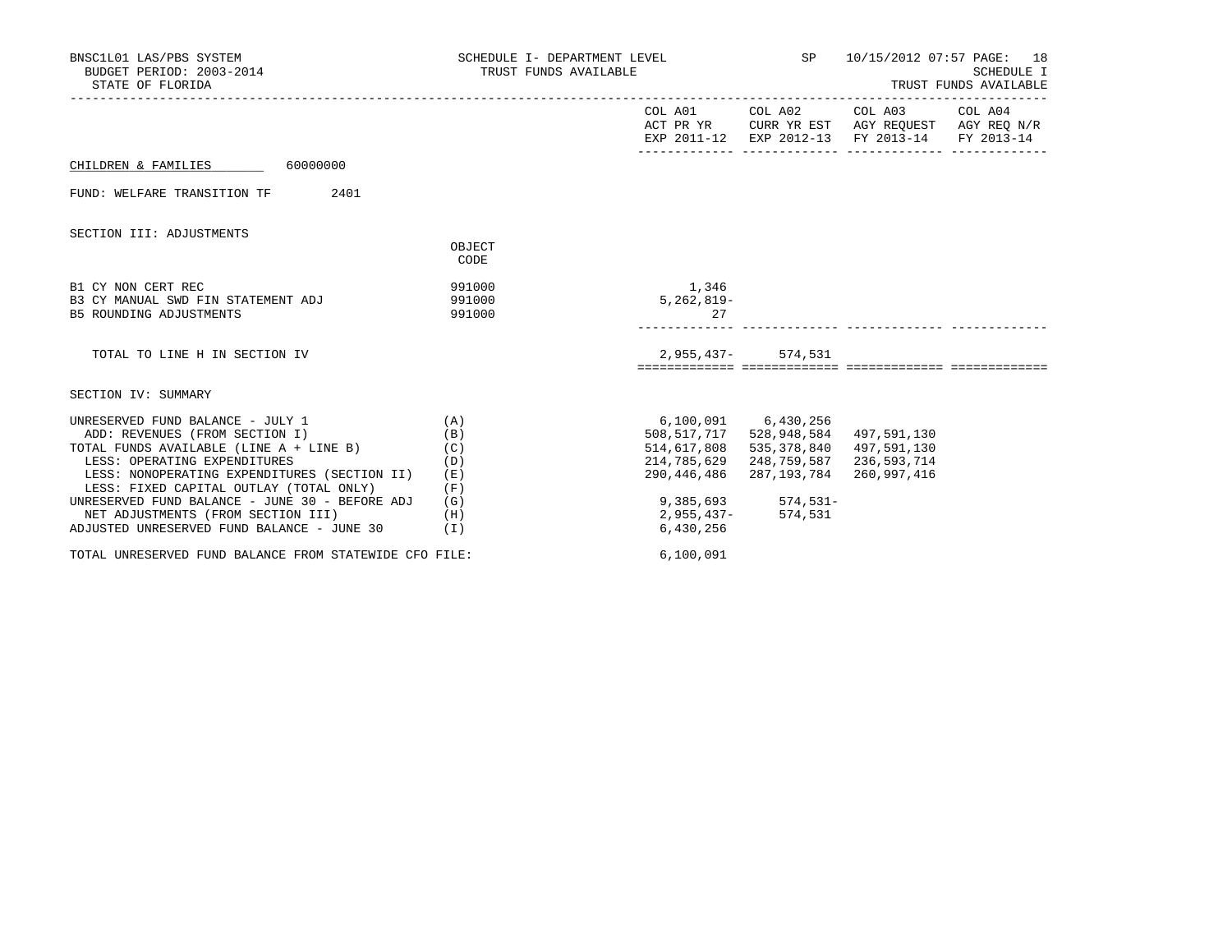| BNSC1L01 LAS/PBS SYSTEM<br>BUDGET PERIOD: 2003-2014<br>STATE OF FLORIDA                                                         | SCHEDULE I- DEPARTMENT LEVEL<br>TRUST FUNDS AVAILABLE |                                           | SP                                                                                                                                | 10/15/2012 07:57 PAGE: 18 | SCHEDULE I<br>TRUST FUNDS AVAILABLE |
|---------------------------------------------------------------------------------------------------------------------------------|-------------------------------------------------------|-------------------------------------------|-----------------------------------------------------------------------------------------------------------------------------------|---------------------------|-------------------------------------|
|                                                                                                                                 |                                                       |                                           | COL A01 COL A02 COL A03 COL A04<br>ACT PR YR CURR YR EST AGY REQUEST AGY REQ N/R<br>EXP 2011-12 EXP 2012-13 FY 2013-14 FY 2013-14 |                           |                                     |
| 60000000<br>CHILDREN & FAMILIES                                                                                                 |                                                       |                                           |                                                                                                                                   |                           |                                     |
| 2401<br>FUND: WELFARE TRANSITION TF                                                                                             |                                                       |                                           |                                                                                                                                   |                           |                                     |
| SECTION III: ADJUSTMENTS                                                                                                        |                                                       |                                           |                                                                                                                                   |                           |                                     |
|                                                                                                                                 | OBJECT<br>CODE                                        |                                           |                                                                                                                                   |                           |                                     |
| B1 CY NON CERT REC<br>B3 CY MANUAL SWD FIN STATEMENT ADJ                                                                        | 991000<br>991000                                      | 1,346<br>$5,262,819-$                     |                                                                                                                                   |                           |                                     |
| B5 ROUNDING ADJUSTMENTS                                                                                                         | 991000                                                | 27                                        |                                                                                                                                   |                           |                                     |
| TOTAL TO LINE H IN SECTION IV                                                                                                   |                                                       | $2,955,437-$                              | 574,531                                                                                                                           |                           |                                     |
| SECTION IV: SUMMARY                                                                                                             |                                                       |                                           |                                                                                                                                   |                           |                                     |
| UNRESERVED FUND BALANCE - JULY 1<br>ADD: REVENUES (FROM SECTION I)                                                              | (A)<br>(B)                                            |                                           | 6,100,091 6,430,256<br>508,517,717 528,948,584                                                                                    | 497,591,130               |                                     |
| TOTAL FUNDS AVAILABLE (LINE A + LINE B)<br>LESS: OPERATING EXPENDITURES<br>LESS: NONOPERATING EXPENDITURES (SECTION II)         | (C)<br>(D)<br>(E)                                     | 514,617,808<br>214,785,629<br>290,446,486 | 535,378,840 497,591,130<br>248,759,587 236,593,714<br>287,193,784 260,997,416                                                     |                           |                                     |
| LESS: FIXED CAPITAL OUTLAY (TOTAL ONLY)<br>UNRESERVED FUND BALANCE - JUNE 30 - BEFORE ADJ<br>NET ADJUSTMENTS (FROM SECTION III) | (F)<br>(G)<br>(H)                                     | 9,385,693<br>2,955,437–                   | $574, 531 -$<br>574,531                                                                                                           |                           |                                     |
| ADJUSTED UNRESERVED FUND BALANCE - JUNE 30                                                                                      | ( I )                                                 | 6,430,256                                 |                                                                                                                                   |                           |                                     |
| TOTAL UNRESERVED FUND BALANCE FROM STATEWIDE CFO FILE:                                                                          |                                                       | 6,100,091                                 |                                                                                                                                   |                           |                                     |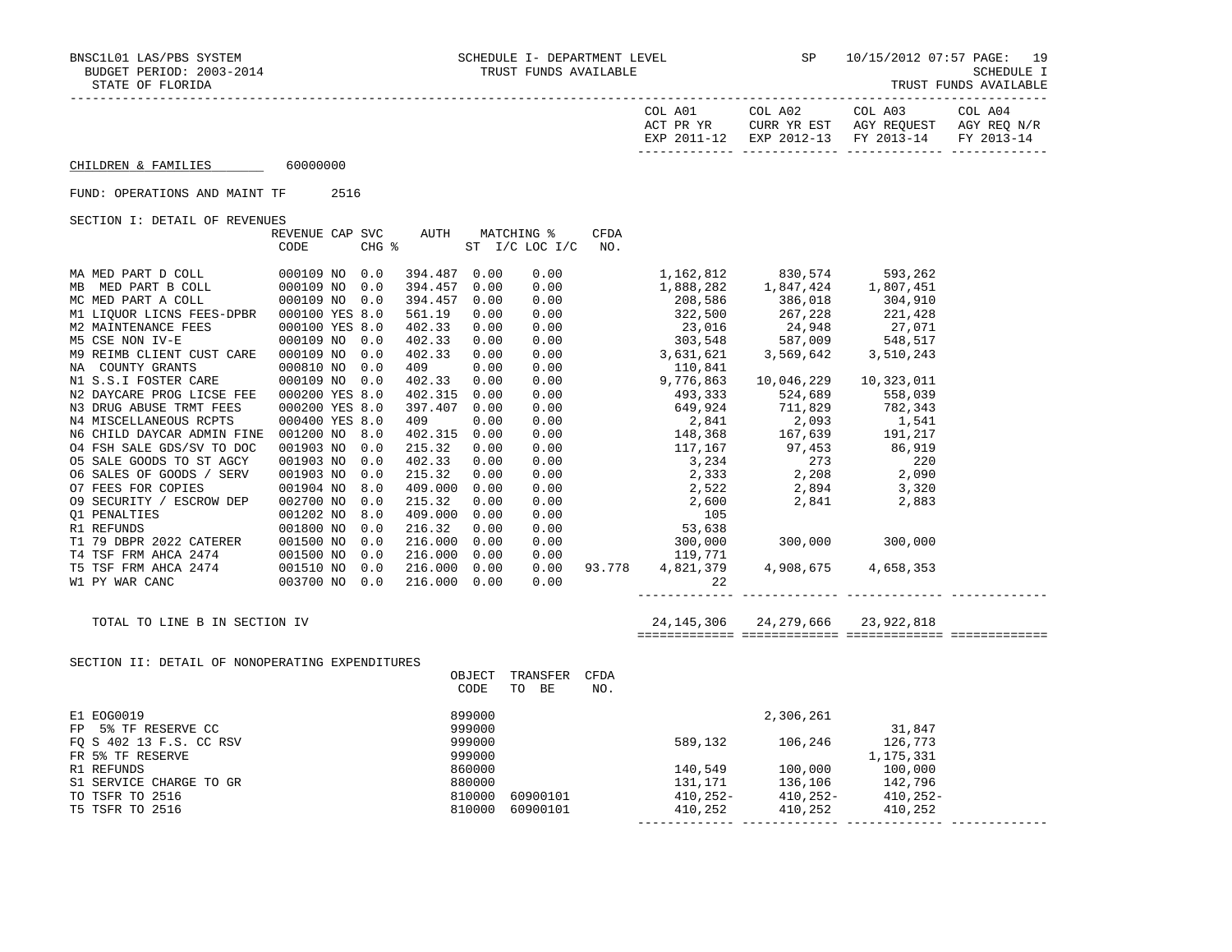| TRUST FUNDS AVAILABLI |  |
|-----------------------|--|
|-----------------------|--|

|                                                                                                                                                                 |                                      |     |                  |              |                                           |                    |            | EXP 2011-12 EXP 2012-13 FY 2013-14 FY 2013-14                                                                                                                                                                                 |        |  |
|-----------------------------------------------------------------------------------------------------------------------------------------------------------------|--------------------------------------|-----|------------------|--------------|-------------------------------------------|--------------------|------------|-------------------------------------------------------------------------------------------------------------------------------------------------------------------------------------------------------------------------------|--------|--|
| CHILDREN & FAMILIES 60000000                                                                                                                                    |                                      |     |                  |              |                                           |                    |            |                                                                                                                                                                                                                               |        |  |
| FUND: OPERATIONS AND MAINT TF 2516                                                                                                                              |                                      |     |                  |              |                                           |                    |            |                                                                                                                                                                                                                               |        |  |
| SECTION I: DETAIL OF REVENUES                                                                                                                                   |                                      |     |                  |              |                                           |                    |            |                                                                                                                                                                                                                               |        |  |
|                                                                                                                                                                 | REVENUE CAP SVC $\quad$ AUTH<br>CODE |     |                  |              | MATCHING %<br>CHG % ST I/C LOC I/C        | <b>CFDA</b><br>NO. |            |                                                                                                                                                                                                                               |        |  |
| $\begin{tabular}{lllllll} \texttt{MA MED PART D COLL} & \texttt{000109 NO} & 0.0 \\ \end{tabular}$                                                              |                                      |     | 394.487 0.00     |              |                                           |                    |            |                                                                                                                                                                                                                               |        |  |
|                                                                                                                                                                 |                                      |     | 394.457 0.00     |              |                                           |                    |            |                                                                                                                                                                                                                               |        |  |
|                                                                                                                                                                 |                                      |     | 394.457 0.00     |              |                                           |                    |            |                                                                                                                                                                                                                               |        |  |
|                                                                                                                                                                 |                                      |     | 561.19           | 0.00         |                                           |                    |            |                                                                                                                                                                                                                               |        |  |
| MI LIQUOR LICNS FEES-DPBR 000100 YES 8.0<br>M2 MAINTENANCE FEES 000100 YES 8.0<br>M5 CSE NON IV-E 000109 NO 0.0                                                 |                                      |     | 402.33           | 0.00         |                                           |                    |            |                                                                                                                                                                                                                               |        |  |
|                                                                                                                                                                 |                                      |     | 402.33           | 0.00         |                                           |                    |            |                                                                                                                                                                                                                               |        |  |
| M9 REIMB CLIENT CUST CARE 000109 NO                                                                                                                             |                                      | 0.0 | 402.33           | 0.00         |                                           |                    |            |                                                                                                                                                                                                                               |        |  |
|                                                                                                                                                                 |                                      |     | 409              | 0.00         |                                           |                    |            |                                                                                                                                                                                                                               |        |  |
|                                                                                                                                                                 |                                      |     | 402.33           | 0.00         |                                           |                    |            |                                                                                                                                                                                                                               |        |  |
| N2 DAYCARE PROG LICSE FEE  000200 YES 8.0                                                                                                                       |                                      |     | 402.315 0.00     |              |                                           |                    |            |                                                                                                                                                                                                                               |        |  |
| N3 DRUG ABUSE TRMT FEES<br>N4 MISCELLANEOUS RCPTS                                                                                                               | 000200 YES 8.0                       |     | 397.407 0.00     |              |                                           |                    |            |                                                                                                                                                                                                                               |        |  |
|                                                                                                                                                                 | 000400 YES 8.0                       |     | 409              | 0.00         |                                           |                    |            |                                                                                                                                                                                                                               |        |  |
| N6 CHILD DAYCAR ADMIN FINE 001200 NO 8.0                                                                                                                        |                                      |     | 402.315 0.00     |              |                                           |                    |            |                                                                                                                                                                                                                               |        |  |
| 04 FSH SALE GDS/SV TO DOC<br>05 SALE GOODS TO ST AGCY                                                                                                           | 001903 NO 0.0<br>001903 NO 0.0       |     | 215.32<br>402.33 | 0.00<br>0.00 |                                           |                    |            |                                                                                                                                                                                                                               |        |  |
| 06 SALES OF GOODS / SERV                                                                                                                                        | 001903 NO                            | 0.0 | 215.32           | 0.00         |                                           |                    |            |                                                                                                                                                                                                                               |        |  |
| O7 FEES FOR COPIES                                                                                                                                              | 001904 NO 8.0                        |     | 409.000 0.00     |              |                                           |                    |            |                                                                                                                                                                                                                               |        |  |
| 09 SECURITY / ESCROW DEP 002700 NO                                                                                                                              |                                      | 0.0 | 215.32           | 0.00         |                                           |                    |            |                                                                                                                                                                                                                               |        |  |
|                                                                                                                                                                 |                                      |     | 409.000 0.00     |              |                                           |                    |            |                                                                                                                                                                                                                               |        |  |
|                                                                                                                                                                 |                                      |     | 216.32           | 0.00         |                                           |                    |            |                                                                                                                                                                                                                               |        |  |
|                                                                                                                                                                 |                                      |     | 216.000 0.00     |              |                                           |                    |            |                                                                                                                                                                                                                               |        |  |
|                                                                                                                                                                 |                                      |     | 216.000 0.00     |              |                                           |                    |            |                                                                                                                                                                                                                               |        |  |
|                                                                                                                                                                 |                                      |     | 216.000 0.00     |              |                                           |                    |            |                                                                                                                                                                                                                               |        |  |
| W1 PY WAR CANC 003700 NO 0.0                                                                                                                                    |                                      |     | 216.000 0.00     |              |                                           |                    | 0.00<br>22 |                                                                                                                                                                                                                               |        |  |
| TOTAL TO LINE B IN SECTION IV                                                                                                                                   |                                      |     |                  |              |                                           |                    |            | 24, 145, 306 24, 279, 666 23, 922, 818                                                                                                                                                                                        |        |  |
|                                                                                                                                                                 |                                      |     |                  |              |                                           |                    |            |                                                                                                                                                                                                                               |        |  |
| SECTION II: DETAIL OF NONOPERATING EXPENDITURES                                                                                                                 |                                      |     |                  |              |                                           |                    |            |                                                                                                                                                                                                                               |        |  |
|                                                                                                                                                                 |                                      |     |                  |              | OBJECT TRANSFER CFDA                      |                    |            |                                                                                                                                                                                                                               |        |  |
|                                                                                                                                                                 |                                      |     |                  | CODE         | TO BE                                     | NO.                |            |                                                                                                                                                                                                                               |        |  |
|                                                                                                                                                                 |                                      |     |                  | 899000       |                                           |                    |            | 2,306,261                                                                                                                                                                                                                     |        |  |
|                                                                                                                                                                 |                                      |     |                  | 999000       |                                           |                    |            |                                                                                                                                                                                                                               | 31,847 |  |
|                                                                                                                                                                 |                                      |     |                  | 999000       |                                           |                    |            |                                                                                                                                                                                                                               |        |  |
|                                                                                                                                                                 |                                      |     |                  | 999000       |                                           |                    |            |                                                                                                                                                                                                                               |        |  |
|                                                                                                                                                                 |                                      |     | 860000<br>880000 |              |                                           |                    |            |                                                                                                                                                                                                                               |        |  |
|                                                                                                                                                                 |                                      |     |                  |              |                                           |                    |            |                                                                                                                                                                                                                               |        |  |
|                                                                                                                                                                 |                                      |     |                  |              | $860000$<br>$880000$<br>$810000$ 60900101 |                    |            |                                                                                                                                                                                                                               |        |  |
| E1 EOG0019<br>FP 5% TF RESERVE CC<br>FQ S 402 13 F.S. CC RSV<br>FR 5% TF RESERVE<br>R1 REFUNDS<br>S1 SERVICE CHARGE TO GR<br>TO TSFR TO 2516<br>T5 TSFR TO 2516 |                                      |     |                  |              | 810000 60900101                           |                    |            | $106,246$ $126,773$ $1,175,331$ $140,549$ $100,000$ $131,171$ $136,106$ $142,796$ $410,252$ $410,252$ $100,252$ $100,252$ $100,252$ $100,252$ $100,252$ $100,252$ $100,252$ $100,252$ $100,252$ $100,252$ $100,252$ $100,252$ |        |  |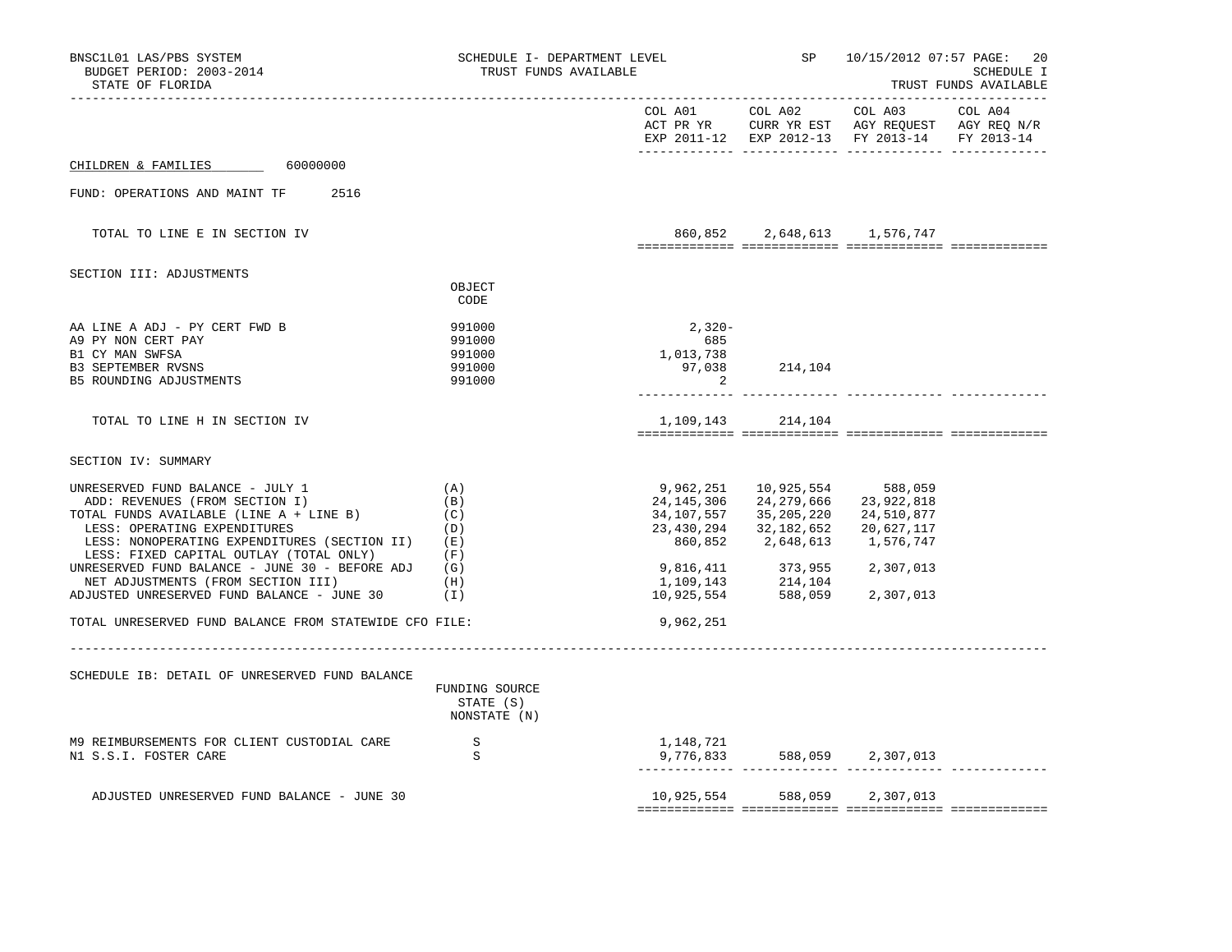| BNSC1L01 LAS/PBS SYSTEM<br>BUDGET PERIOD: 2003-2014<br>STATE OF FLORIDA                                                                                                                                                                                                                                                                                                                                                                            | SCHEDULE I- DEPARTMENT LEVEL<br>TRUST FUNDS AVAILABLE |                                          |                                                                                                                                                                                           | SP 10/15/2012 07:57 PAGE:<br>20<br>SCHEDULE I<br>TRUST FUNDS AVAILABLE                                                       |  |  |
|----------------------------------------------------------------------------------------------------------------------------------------------------------------------------------------------------------------------------------------------------------------------------------------------------------------------------------------------------------------------------------------------------------------------------------------------------|-------------------------------------------------------|------------------------------------------|-------------------------------------------------------------------------------------------------------------------------------------------------------------------------------------------|------------------------------------------------------------------------------------------------------------------------------|--|--|
|                                                                                                                                                                                                                                                                                                                                                                                                                                                    |                                                       |                                          |                                                                                                                                                                                           | EXP 2011-12 EXP 2012-13 FY 2013-14 FY 2013-14                                                                                |  |  |
| CHILDREN & FAMILIES 60000000                                                                                                                                                                                                                                                                                                                                                                                                                       |                                                       |                                          |                                                                                                                                                                                           |                                                                                                                              |  |  |
| FUND: OPERATIONS AND MAINT TF 2516                                                                                                                                                                                                                                                                                                                                                                                                                 |                                                       |                                          |                                                                                                                                                                                           |                                                                                                                              |  |  |
| TOTAL TO LINE E IN SECTION IV                                                                                                                                                                                                                                                                                                                                                                                                                      |                                                       |                                          |                                                                                                                                                                                           | 860,852 2,648,613 1,576,747                                                                                                  |  |  |
| SECTION III: ADJUSTMENTS                                                                                                                                                                                                                                                                                                                                                                                                                           |                                                       |                                          |                                                                                                                                                                                           |                                                                                                                              |  |  |
|                                                                                                                                                                                                                                                                                                                                                                                                                                                    | OBJECT<br>CODE                                        |                                          |                                                                                                                                                                                           |                                                                                                                              |  |  |
| AA LINE A ADJ - PY CERT FWD B<br>A9 PY NON CERT PAY<br>B1 CY MAN SWFSA<br><b>B3 SEPTEMBER RVSNS</b><br>B5 ROUNDING ADJUSTMENTS                                                                                                                                                                                                                                                                                                                     | 991000<br>991000<br>991000<br>991000<br>991000        | $2,320-$<br>685<br>1,013,738<br>$\sim$ 2 | 97,038 214,104                                                                                                                                                                            |                                                                                                                              |  |  |
| TOTAL TO LINE H IN SECTION IV                                                                                                                                                                                                                                                                                                                                                                                                                      |                                                       |                                          | 1, 109, 143 214, 104                                                                                                                                                                      |                                                                                                                              |  |  |
| SECTION IV: SUMMARY                                                                                                                                                                                                                                                                                                                                                                                                                                |                                                       |                                          |                                                                                                                                                                                           |                                                                                                                              |  |  |
| UNRESERVED FUND BALANCE - JULY 1<br>ADD: REVENUES (FROM SECTION I)<br>TOTAL FUNDS AVAILABLE (LINE A + LINE B)<br>LESS: OPERATING EXPENDITURES<br>LESS: NONOPERATING EXPENDITURES (SECTION II) (E)<br>LESS: FIXED CAPITAL OUTLAY (TOTAL ONLY)<br>UNRESERVED FUND BALANCE - JUNE 30 - BEFORE ADJ $(G)$<br>NET ADJUSTMENTS (FROM SECTION III)<br>ADJUSTED UNRESERVED FUND BALANCE - JUNE 30<br>TOTAL UNRESERVED FUND BALANCE FROM STATEWIDE CFO FILE: | (A)<br>(B)<br>(C)<br>(D)<br>(F)<br>(H)<br>(I)         | 9,962,251                                | 9,962,251 10,925,554 588,059<br>24, 145, 306 24, 279, 666 23, 922, 818<br>34, 107, 557 35, 205, 220 24, 510, 877<br>23, 430, 294 32, 182, 652 20, 627, 117<br>860,852 2,648,613 1,576,747 | $\begin{array}{llll} 9,816,411 & 373,955 & 2,307,013 \\ 1,109,143 & 214,104 \\ 10,925,554 & 588,059 & 2,307,013 \end{array}$ |  |  |
| SCHEDULE IB: DETAIL OF UNRESERVED FUND BALANCE                                                                                                                                                                                                                                                                                                                                                                                                     | FUNDING SOURCE<br>STATE (S)<br>NONSTATE (N)           |                                          |                                                                                                                                                                                           |                                                                                                                              |  |  |
| M9 REIMBURSEMENTS FOR CLIENT CUSTODIAL CARE<br>N1 S.S.I. FOSTER CARE                                                                                                                                                                                                                                                                                                                                                                               | $\mathbf{S}$<br>S                                     | 1,148,721                                |                                                                                                                                                                                           |                                                                                                                              |  |  |
| ADJUSTED UNRESERVED FUND BALANCE - JUNE 30                                                                                                                                                                                                                                                                                                                                                                                                         |                                                       |                                          |                                                                                                                                                                                           | 10,925,554 588,059 2,307,013                                                                                                 |  |  |
|                                                                                                                                                                                                                                                                                                                                                                                                                                                    |                                                       |                                          |                                                                                                                                                                                           |                                                                                                                              |  |  |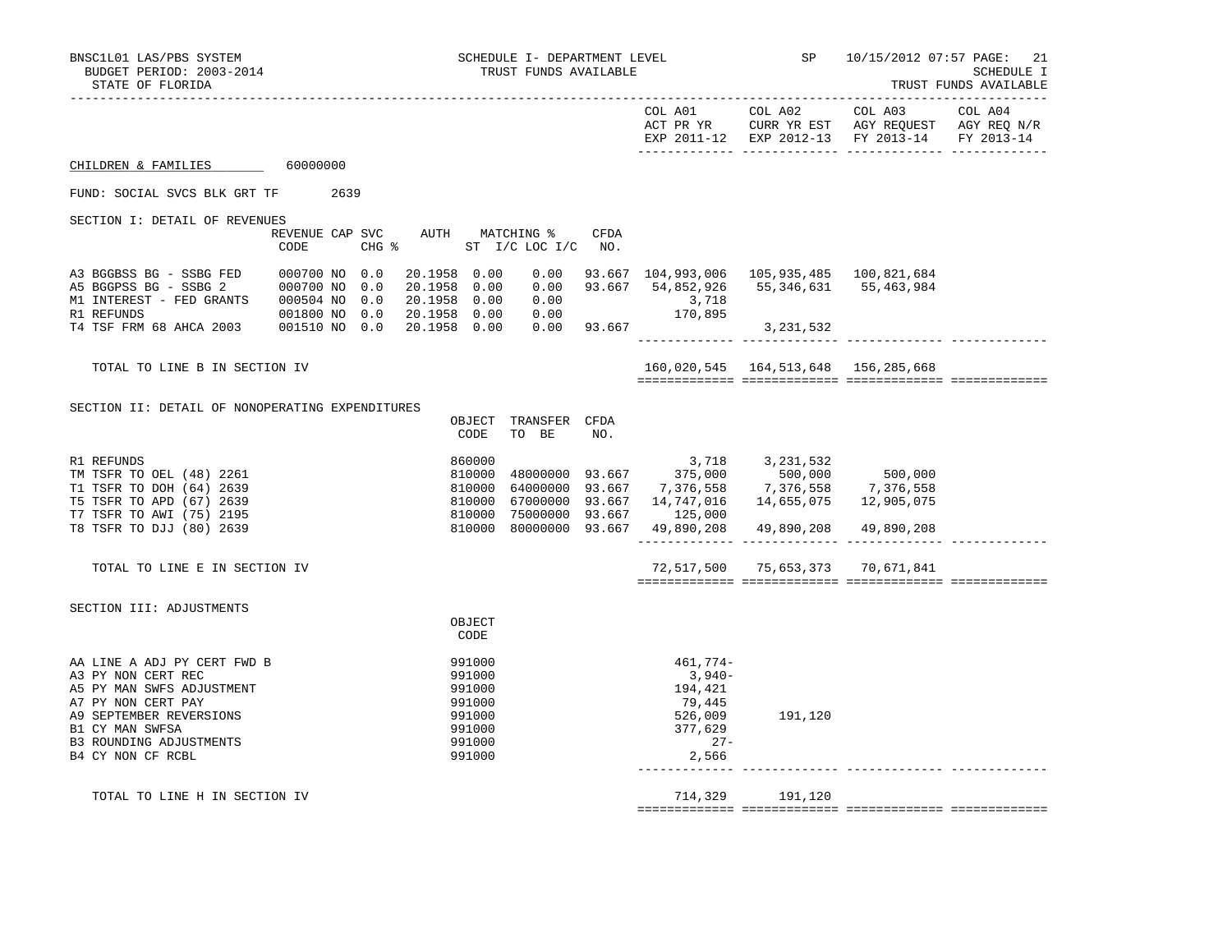|                                                                                                                                                                                                    |                                |      |                              |                                                                              |                                                       |      |                                                                                                              | COL A01 COL A02<br>ACT PR YR CURR YR EST AGY REQUEST AGY REQ N/R                                                       | COL A03    | COL A04    |
|----------------------------------------------------------------------------------------------------------------------------------------------------------------------------------------------------|--------------------------------|------|------------------------------|------------------------------------------------------------------------------|-------------------------------------------------------|------|--------------------------------------------------------------------------------------------------------------|------------------------------------------------------------------------------------------------------------------------|------------|------------|
|                                                                                                                                                                                                    |                                |      |                              |                                                                              |                                                       |      |                                                                                                              | EXP 2011-12 EXP 2012-13 FY 2013-14                                                                                     |            | FY 2013-14 |
| CHILDREN & FAMILIES                                                                                                                                                                                | 60000000                       |      |                              |                                                                              |                                                       |      |                                                                                                              |                                                                                                                        |            |            |
| FUND: SOCIAL SVCS BLK GRT TF                                                                                                                                                                       |                                | 2639 |                              |                                                                              |                                                       |      |                                                                                                              |                                                                                                                        |            |            |
| SECTION I: DETAIL OF REVENUES                                                                                                                                                                      | CODE                           |      | $CHG$ $\approx$              |                                                                              | REVENUE CAP SVC AUTH MATCHING %<br>ST I/C LOC I/C NO. | CFDA |                                                                                                              |                                                                                                                        |            |            |
| A3 BGGBSS BG - SSBG FED<br>A5 BGGPSS BG - SSBG 2 000700 NO 0.0<br>M1 INTEREST - FED GRANTS 000504 NO 0.0<br>R1 REFUNDS                                                                             | 000700 NO 0.0<br>001800 NO 0.0 |      | 20.1958 0.00<br>20.1958 0.00 |                                                                              | 20.1958 0.00 0.00                                     |      | $\begin{array}{llll} 0.00 & \quad & 3\,718 \\ 0.00 & \quad & 170\,895 \\ 0.00 & \quad & 93\,667 \end{array}$ | $0.00$ $93.667$ $104,993,006$ $105,935,485$ $100,821,684$<br>20.1958 0.00 0.00 93.667 54,852,926 55,346,631 55,463,984 |            |            |
| T4 TSF FRM 68 AHCA 2003 001510 NO 0.0                                                                                                                                                              |                                |      | 20.1958 0.00                 |                                                                              |                                                       |      |                                                                                                              | 3, 231, 532                                                                                                            |            |            |
| TOTAL TO LINE B IN SECTION IV                                                                                                                                                                      |                                |      |                              |                                                                              |                                                       |      |                                                                                                              | 160,020,545  164,513,648  156,285,668                                                                                  |            |            |
| SECTION II: DETAIL OF NONOPERATING EXPENDITURES                                                                                                                                                    |                                |      |                              |                                                                              |                                                       |      |                                                                                                              |                                                                                                                        |            |            |
|                                                                                                                                                                                                    |                                |      |                              | OBJECT<br>CODE                                                               | TRANSFER CFDA<br>TO BE                                | NO.  |                                                                                                              |                                                                                                                        |            |            |
| R1 REFUNDS<br>TM TSFR TO OEL (48) 2261<br>T1 TSFR TO DOH (64) 2639<br>T5 TSFR TO APD (67) 2639<br>T7 TSFR TO AWI (75) 2195                                                                         |                                |      |                              | 860000<br>810000<br>810000<br>810000<br>810000                               | 75000000 93.667                                       |      | 64000000 93.667 7,376,558<br>67000000 93.667 14,747,016<br>125,000                                           | $3,718$<br>48000000 93.667 $375,000$ 500,000 500,000<br>7,376,558 7,376,558<br>14,655,075                              | 12,905,075 |            |
| T8 TSFR TO DJJ (80) 2639                                                                                                                                                                           |                                |      |                              |                                                                              |                                                       |      | 810000 80000000 93.667 49,890,208                                                                            | 49,890,208                                                                                                             | 49,890,208 |            |
| TOTAL TO LINE E IN SECTION IV                                                                                                                                                                      |                                |      |                              |                                                                              |                                                       |      |                                                                                                              | 72,517,500 75,653,373 70,671,841                                                                                       |            |            |
| SECTION III: ADJUSTMENTS                                                                                                                                                                           |                                |      |                              |                                                                              |                                                       |      |                                                                                                              |                                                                                                                        |            |            |
|                                                                                                                                                                                                    |                                |      |                              | OBJECT<br>CODE                                                               |                                                       |      |                                                                                                              |                                                                                                                        |            |            |
| AA LINE A ADJ PY CERT FWD B<br>A3 PY NON CERT REC<br>A5 PY MAN SWFS ADJUSTMENT<br>A7 PY NON CERT PAY<br>A9 SEPTEMBER REVERSIONS<br>B1 CY MAN SWFSA<br>B3 ROUNDING ADJUSTMENTS<br>B4 CY NON CF RCBL |                                |      |                              | 991000<br>991000<br>991000<br>991000<br>991000<br>991000<br>991000<br>991000 |                                                       |      | 461,774-<br>3,940-<br>194,421<br>79,445<br>526,009<br>377,629<br>$27-$<br>2,566                              | 191,120                                                                                                                |            |            |
| TOTAL TO LINE H IN SECTION IV                                                                                                                                                                      |                                |      |                              |                                                                              |                                                       |      |                                                                                                              | 714,329 191,120                                                                                                        |            |            |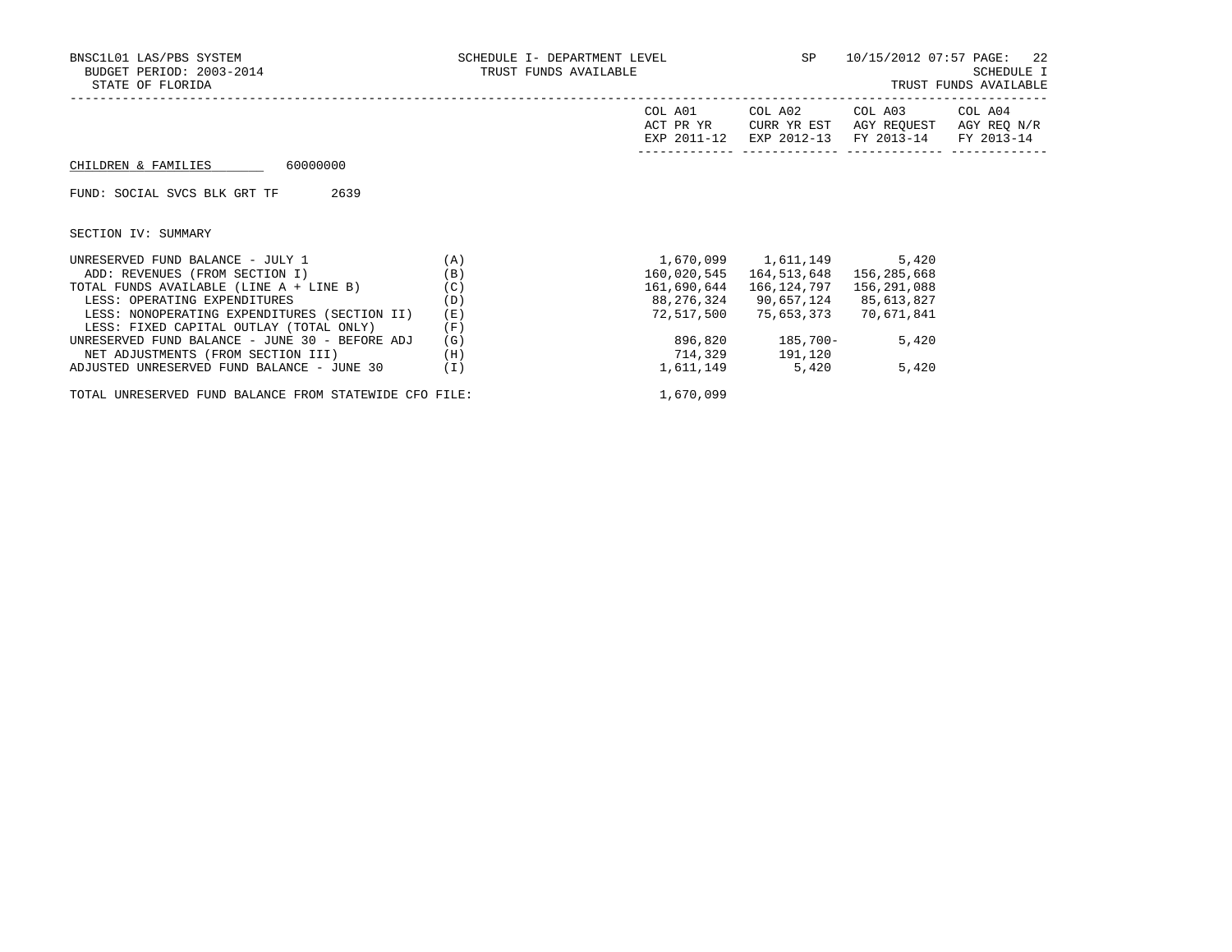| BNSC1L01 LAS/PBS SYSTEM<br>BUDGET PERIOD: 2003-2014<br>STATE OF FLORIDA                                                         | SCHEDULE I- DEPARTMENT LEVEL <b>AND SERVEL</b><br>TRUST FUNDS AVAILABLE |                                         | 10/15/2012 07:57 PAGE: 22<br>------------------------------- | SCHEDULE I<br>TRUST FUNDS AVAILABLE          |                           |
|---------------------------------------------------------------------------------------------------------------------------------|-------------------------------------------------------------------------|-----------------------------------------|--------------------------------------------------------------|----------------------------------------------|---------------------------|
|                                                                                                                                 |                                                                         | COL A01<br>ACT PR YR<br>EXP 2011-12     | COL A02<br>CURR YR EST<br>EXP 2012-13                        | COL A03 COL A04<br>AGY REOUEST<br>FY 2013-14 | AGY REQ N/R<br>FY 2013-14 |
| 60000000<br>CHILDREN & FAMILIES                                                                                                 |                                                                         |                                         |                                                              |                                              |                           |
| 2639<br>FUND: SOCIAL SVCS BLK GRT TF                                                                                            |                                                                         |                                         |                                                              |                                              |                           |
| SECTION IV: SUMMARY                                                                                                             |                                                                         |                                         |                                                              |                                              |                           |
| UNRESERVED FUND BALANCE - JULY 1<br>ADD: REVENUES (FROM SECTION I)                                                              | (A)<br>(B)                                                              | 160,020,545                             | 1,670,099 1,611,149 5,420<br>164,513,648                     | 156,285,668                                  |                           |
| TOTAL FUNDS AVAILABLE (LINE A + LINE B)<br>LESS: OPERATING EXPENDITURES<br>LESS: NONOPERATING EXPENDITURES (SECTION II)         | (C)<br>(D)<br>(E)                                                       | 161,690,644<br>88,276,324<br>72,517,500 | 166,124,797<br>90,657,124<br>75,653,373                      | 156,291,088<br>85,613,827<br>70,671,841      |                           |
| LESS: FIXED CAPITAL OUTLAY (TOTAL ONLY)<br>UNRESERVED FUND BALANCE - JUNE 30 - BEFORE ADJ<br>NET ADJUSTMENTS (FROM SECTION III) | (F)<br>(G)<br>(H)                                                       |                                         | 896,820 185,700-<br>714,329 191,120                          | 5,420                                        |                           |
| ADJUSTED UNRESERVED FUND BALANCE - JUNE 30                                                                                      | ( I )                                                                   | 1,611,149                               | 5,420                                                        | 5,420                                        |                           |

TOTAL UNRESERVED FUND BALANCE FROM STATEWIDE CFO FILE:  $1,670,099$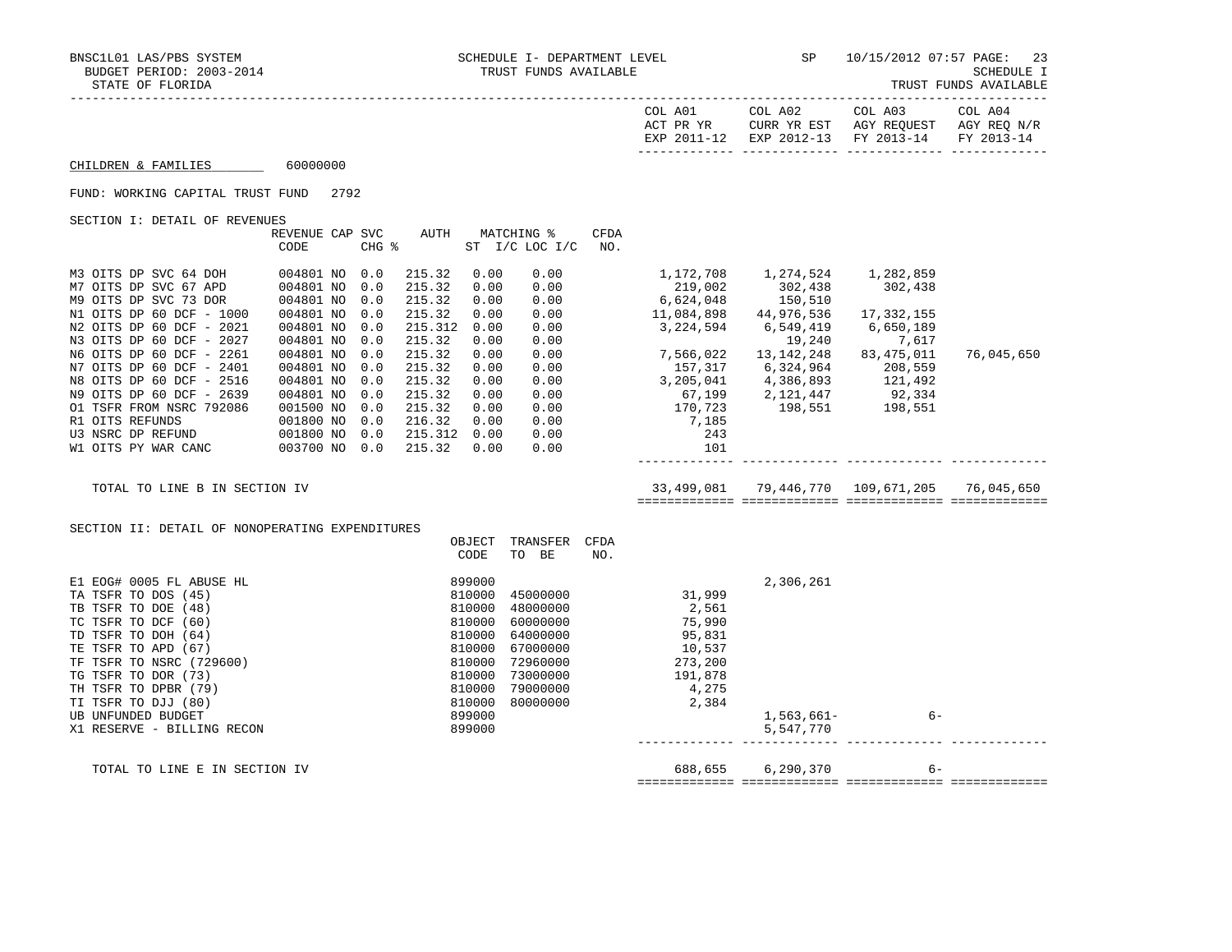| <b>COL</b><br>A01 | COL A02                |                     | COL A03<br>COL A04          |            |
|-------------------|------------------------|---------------------|-----------------------------|------------|
| ם ה<br>እ ጦጦ       | $\tau$<br>$\tau$ TIP R | YR<br>고여<br>AGY     | REOUEST<br>AGY              | RFC.       |
|                   |                        |                     | $\sim$ $\sim$ $\sim$ $\sim$ |            |
| <b>TYD</b>        | <b>FYL</b>             | <b>FV</b><br>່າ-1 - | $2013 - 14$<br><b>DV</b>    | $2013 - 1$ |

------------- ------------- ------------- -------------

 $CHILDREN & FAMILIES$  60000000

## FUND: WORKING CAPITAL TRUST FUND 2792

SECTION I: DETAIL OF REVENUES

|                          | REVENUE CAP | <b>SVC</b> | AUTH    |      | MATCHING %     | CFDA |            |              |            |            |
|--------------------------|-------------|------------|---------|------|----------------|------|------------|--------------|------------|------------|
|                          | CODE        | CHG %      |         |      | ST I/C LOC I/C | NO.  |            |              |            |            |
|                          |             |            |         |      |                |      |            |              |            |            |
| M3 OITS DP SVC 64 DOH    | 004801 NO   | 0.0        | 215.32  | 0.00 | 0.00           |      | 1,172,708  | 1,274,524    | 1,282,859  |            |
| M7 OITS DP SVC 67 APD    | 004801 NO   | 0.0        | 215.32  | 0.00 | 0.00           |      | 219,002    | 302,438      | 302,438    |            |
| M9 OITS DP SVC 73 DOR    | 004801 NO   | 0.0        | 215.32  | 0.00 | 0.00           |      | 6,624,048  | 150,510      |            |            |
| N1 OITS DP 60 DCF - 1000 | 004801 NO   | 0.0        | 215.32  | 0.00 | 0.00           |      | 11,084,898 | 44,976,536   | 17,332,155 |            |
| N2 OITS DP 60 DCF - 2021 | 004801 NO   | 0.0        | 215.312 | 0.00 | 0.00           |      | 3,224,594  | 6,549,419    | 6,650,189  |            |
| N3 OITS DP 60 DCF - 2027 | 004801 NO   | 0.0        | 215.32  | 0.00 | 0.00           |      |            | 19,240       | 7,617      |            |
| N6 OITS DP 60 DCF - 2261 | 004801 NO   | 0.0        | 215.32  | 0.00 | 0.00           |      | 7,566,022  | 13, 142, 248 | 83,475,011 | 76,045,650 |
| N7 OITS DP 60 DCF - 2401 | 004801 NO   | 0.0        | 215.32  | 0.00 | 0.00           |      | 157,317    | 6,324,964    | 208,559    |            |
| N8 OITS DP 60 DCF - 2516 | 004801 NO   | 0.0        | 215.32  | 0.00 | 0.00           |      | 3,205,041  | 4,386,893    | 121,492    |            |
| N9 OITS DP 60 DCF - 2639 | 004801 NO   | 0.0        | 215.32  | 0.00 | 0.00           |      | 67,199     | 2,121,447    | 92,334     |            |
| 01 TSFR FROM NSRC 792086 | 001500 NO   | 0.0        | 215.32  | 0.00 | 0.00           |      | 170,723    | 198,551      | 198,551    |            |
| R1 OITS REFUNDS          | 001800 NO   | 0.0        | 216.32  | 0.00 | 0.00           |      | 7,185      |              |            |            |
| U3 NSRC DP REFUND        | 001800 NO   | 0.0        | 215.312 | 0.00 | 0.00           |      | 243        |              |            |            |
| W1 OITS PY WAR CANC      | 003700 NO   | 0.0        | 215.32  | 0.00 | 0.00           |      | 101        |              |            |            |
|                          |             |            |         |      |                |      |            |              |            |            |

 TOTAL TO LINE B IN SECTION IV 33,499,081 79,446,770 109,671,205 76,045,650 ============= ============= ============= =============

SECTION II: DETAIL OF NONOPERATING EXPENDITURES

|                               | OBJECT | TRANSFER | CFDA    |              |      |  |
|-------------------------------|--------|----------|---------|--------------|------|--|
|                               | CODE   | TO BE    | NO.     |              |      |  |
| E1 EOG# 0005 FL ABUSE HL      | 899000 |          |         | 2,306,261    |      |  |
| TA TSFR TO DOS (45)           | 810000 | 45000000 | 31,999  |              |      |  |
| TB TSFR TO DOE (48)           | 810000 | 48000000 | 2,561   |              |      |  |
| TC TSFR TO DCF (60)           | 810000 | 60000000 | 75,990  |              |      |  |
| TD TSFR TO DOH (64)           | 810000 | 64000000 | 95,831  |              |      |  |
| TE TSFR TO APD (67)           | 810000 | 67000000 | 10,537  |              |      |  |
| TF TSFR TO NSRC (729600)      | 810000 | 72960000 | 273,200 |              |      |  |
| TG TSFR TO DOR (73)           | 810000 | 73000000 | 191,878 |              |      |  |
| TH TSFR TO DPBR (79)          | 810000 | 79000000 | 4,275   |              |      |  |
| TI TSFR TO DJJ (80)           | 810000 | 80000000 | 2,384   |              |      |  |
| UB UNFUNDED BUDGET            | 899000 |          |         | $1,563,661-$ | $6-$ |  |
| X1 RESERVE - BILLING RECON    | 899000 |          |         | 5,547,770    |      |  |
|                               |        |          |         |              |      |  |
| TOTAL TO LINE E IN SECTION IV |        |          | 688,655 | 6,290,370    | $6-$ |  |
|                               |        |          |         |              |      |  |